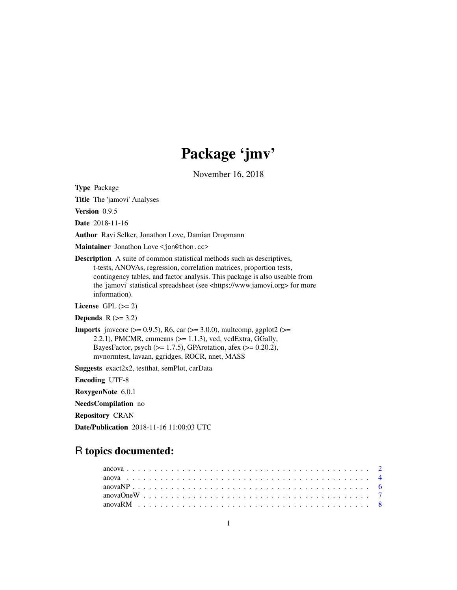# Package 'jmv'

November 16, 2018

<span id="page-0-0"></span>Type Package

Title The 'jamovi' Analyses

Version 0.9.5

Date 2018-11-16

Author Ravi Selker, Jonathon Love, Damian Dropmann

Maintainer Jonathon Love <jon@thon.cc>

Description A suite of common statistical methods such as descriptives, t-tests, ANOVAs, regression, correlation matrices, proportion tests, contingency tables, and factor analysis. This package is also useable from the 'jamovi' statistical spreadsheet (see <https://www.jamovi.org> for more information).

License GPL  $(>= 2)$ 

Depends  $R$  ( $>= 3.2$ )

**Imports** jmvcore ( $> = 0.9.5$ ), R6, car ( $> = 3.0.0$ ), multcomp, ggplot2 ( $> =$ 2.2.1), PMCMR, emmeans  $(>= 1.1.3)$ , vcd, vcdExtra, GGally, BayesFactor, psych  $(>= 1.7.5)$ , GPArotation, afex  $(>= 0.20.2)$ , mvnormtest, lavaan, ggridges, ROCR, nnet, MASS

Suggests exact2x2, testthat, semPlot, carData

Encoding UTF-8

RoxygenNote 6.0.1

NeedsCompilation no

Repository CRAN

Date/Publication 2018-11-16 11:00:03 UTC

## R topics documented: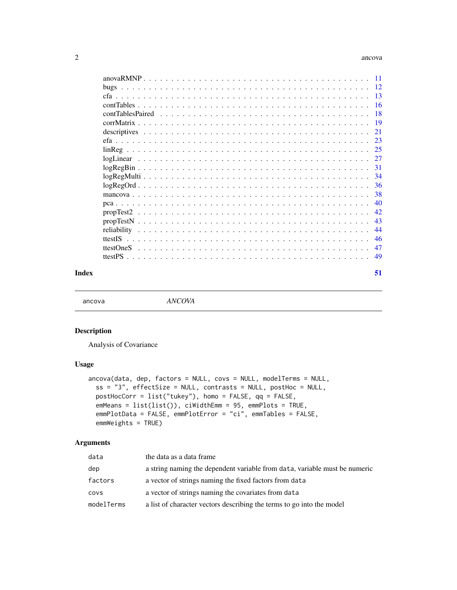#### <span id="page-1-0"></span>2 ancova ancova ancova ancova ancova ancova ancova ancova ancova ancova ancova ancova ancova ancova ancova ancov

| - 18 |
|------|
|      |
| 21   |
|      |
|      |
|      |
|      |
|      |
|      |
|      |
| 40   |
| 42.  |
| 43   |
| 44   |
| 46   |
| 47   |
| 49   |
|      |

#### **Index** [51](#page-50-0)

ancova *ANCOVA*

### Description

Analysis of Covariance

### Usage

```
ancova(data, dep, factors = NULL, covs = NULL, modelTerms = NULL,
 ss = "3", effectSize = NULL, contrasts = NULL, postHoc = NULL,
 postHocCorr = list("tukey"), homo = FALSE, qq = FALSE,
 emMeans = list(list()), ciWidthEmm = 95, emmPlots = TRUE,
  emmPlotData = FALSE, emmPlotError = "ci", emmTables = FALSE,
  emmWeights = TRUE)
```

| data       | the data as a data frame                                                   |
|------------|----------------------------------------------------------------------------|
| dep        | a string naming the dependent variable from data, variable must be numeric |
| factors    | a vector of strings naming the fixed factors from data                     |
| covs       | a vector of strings naming the covariates from data                        |
| modelTerms | a list of character vectors describing the terms to go into the model      |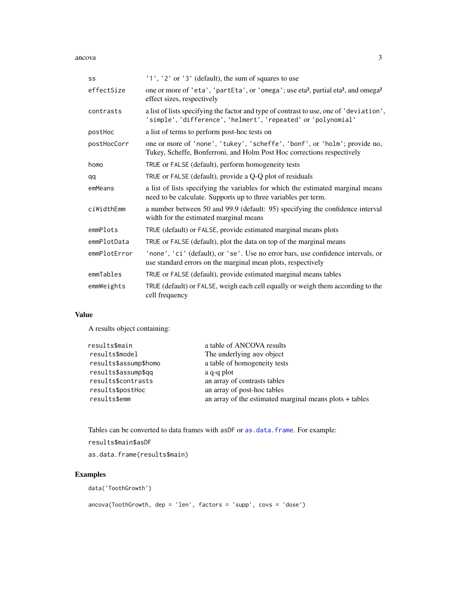<span id="page-2-0"></span>ancova 3

| SS           | $'1', '2'$ or $'3'$ (default), the sum of squares to use                                                                                                |
|--------------|---------------------------------------------------------------------------------------------------------------------------------------------------------|
| effectSize   | one or more of 'eta', 'partEta', or 'omega'; use eta <sup>2</sup> , partial eta <sup>2</sup> , and omega <sup>2</sup><br>effect sizes, respectively     |
| contrasts    | a list of lists specifying the factor and type of contrast to use, one of 'deviation',<br>'simple', 'difference', 'helmert', 'repeated' or 'polynomial' |
| postHoc      | a list of terms to perform post-hoc tests on                                                                                                            |
| postHocCorr  | one or more of 'none', 'tukey', 'scheffe', 'bonf', or 'holm'; provide no,<br>Tukey, Scheffe, Bonferroni, and Holm Post Hoc corrections respectively     |
| homo         | TRUE or FALSE (default), perform homogeneity tests                                                                                                      |
| qq           | TRUE or FALSE (default), provide a Q-Q plot of residuals                                                                                                |
| emMeans      | a list of lists specifying the variables for which the estimated marginal means<br>need to be calculate. Supports up to three variables per term.       |
| ciWidthEmm   | a number between 50 and 99.9 (default: 95) specifying the confidence interval<br>width for the estimated marginal means                                 |
| emmPlots     | TRUE (default) or FALSE, provide estimated marginal means plots                                                                                         |
| emmPlotData  | TRUE or FALSE (default), plot the data on top of the marginal means                                                                                     |
| emmPlotError | 'none', 'ci' (default), or 'se'. Use no error bars, use confidence intervals, or<br>use standard errors on the marginal mean plots, respectively        |
| emmTables    | TRUE or FALSE (default), provide estimated marginal means tables                                                                                        |
| emmWeights   | TRUE (default) or FALSE, weigh each cell equally or weigh them according to the<br>cell frequency                                                       |

### Value

A results object containing:

| a table of ANCOVA results                               |
|---------------------------------------------------------|
| The underlying aov object                               |
| a table of homogeneity tests                            |
| a q-q plot                                              |
| an array of contrasts tables                            |
| an array of post-hoc tables                             |
| an array of the estimated marginal means plots + tables |
|                                                         |

Tables can be converted to data frames with asDF or [as.data.frame](#page-0-0). For example:

results\$main\$asDF

as.data.frame(results\$main)

### Examples

```
data('ToothGrowth')
```
ancova(ToothGrowth, dep = 'len', factors = 'supp', covs = 'dose')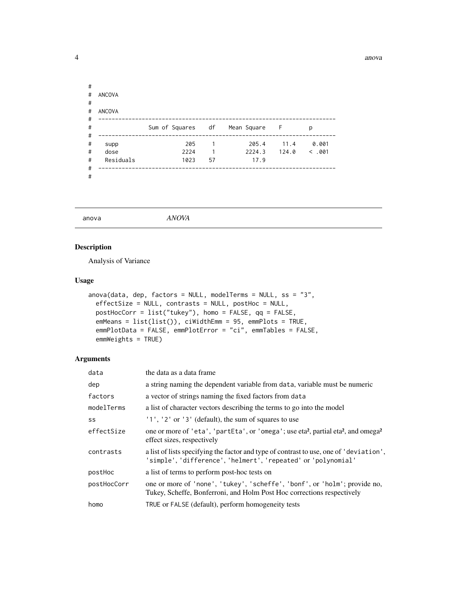<span id="page-3-0"></span>

| # |               |                               |                |        |       |         |
|---|---------------|-------------------------------|----------------|--------|-------|---------|
| # | <b>ANCOVA</b> |                               |                |        |       |         |
| # |               |                               |                |        |       |         |
| # | <b>ANCOVA</b> |                               |                |        |       |         |
| # |               |                               |                |        |       |         |
| # |               | Sum of Squares df Mean Square |                |        | - F   | p       |
| # |               |                               |                |        |       |         |
| # | supp          | 205                           | $\overline{1}$ | 205.4  | 11.4  | 0.001   |
| # | dose          | 2224                          | 1              | 2224.3 | 124.0 | < 0.001 |
| # | Residuals     | 1023                          | 57             | 17.9   |       |         |
| # |               |                               |                |        |       |         |
| # |               |                               |                |        |       |         |

### anova *ANOVA*

### Description

Analysis of Variance

#### Usage

```
anova(data, dep, factors = NULL, modelTerms = NULL, ss = "3",
 effectSize = NULL, contrasts = NULL, postHoc = NULL,
 postHocCorr = list("tukey"), homo = FALSE, qq = FALSE,
 emMeans = list(list()), ciWidthEmm = 95, emmPlots = TRUE,
 emmPlotData = FALSE, emmPlotError = "ci", emmTables = FALSE,
 emmWeights = TRUE)
```

| data        | the data as a data frame                                                                                                                                |
|-------------|---------------------------------------------------------------------------------------------------------------------------------------------------------|
| dep         | a string naming the dependent variable from data, variable must be numeric                                                                              |
| factors     | a vector of strings naming the fixed factors from data                                                                                                  |
| modelTerms  | a list of character vectors describing the terms to go into the model                                                                                   |
| SS          | $'1', '2'$ or $'3'$ (default), the sum of squares to use                                                                                                |
| effectSize  | one or more of 'eta', 'partEta', or 'omega'; use eta <sup>2</sup> , partial eta <sup>2</sup> , and omega <sup>2</sup><br>effect sizes, respectively     |
| contrasts   | a list of lists specifying the factor and type of contrast to use, one of 'deviation',<br>'simple', 'difference', 'helmert', 'repeated' or 'polynomial' |
| postHoc     | a list of terms to perform post-hoc tests on                                                                                                            |
| postHocCorr | one or more of 'none', 'tukey', 'scheffe', 'bonf', or 'holm'; provide no,<br>Tukey, Scheffe, Bonferroni, and Holm Post Hoc corrections respectively     |
| homo        | TRUE or FALSE (default), perform homogeneity tests                                                                                                      |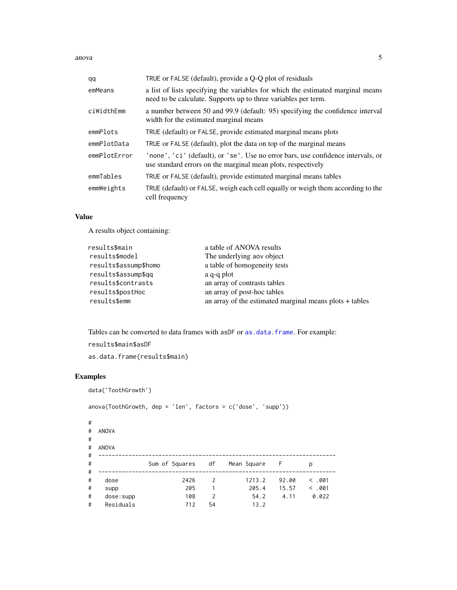<span id="page-4-0"></span>anova 5

| qq           | TRUE or FALSE (default), provide a Q-Q plot of residuals                                                                                          |
|--------------|---------------------------------------------------------------------------------------------------------------------------------------------------|
| emMeans      | a list of lists specifying the variables for which the estimated marginal means<br>need to be calculate. Supports up to three variables per term. |
| ciWidthEmm   | a number between 50 and 99.9 (default: 95) specifying the confidence interval<br>width for the estimated marginal means                           |
| emmPlots     | TRUE (default) or FALSE, provide estimated marginal means plots                                                                                   |
| emmPlotData  | TRUE or FALSE (default), plot the data on top of the marginal means                                                                               |
| emmPlotError | 'none', 'ci' (default), or 'se'. Use no error bars, use confidence intervals, or<br>use standard errors on the marginal mean plots, respectively  |
| emmTables    | TRUE or FALSE (default), provide estimated marginal means tables                                                                                  |
| emmWeights   | TRUE (default) or FALSE, weigh each cell equally or weigh them according to the<br>cell frequency                                                 |

### Value

A results object containing:

| results\$main         | a table of ANOVA results                                |
|-----------------------|---------------------------------------------------------|
| results\$model        | The underlying aov object                               |
| results\$assump\$homo | a table of homogeneity tests                            |
| results\$assump\$gg   | a q-q plot                                              |
| results\$contrasts    | an array of contrasts tables                            |
| results\$postHoc      | an array of post-hoc tables                             |
| results\$emm          | an array of the estimated marginal means plots + tables |
|                       |                                                         |

Tables can be converted to data frames with asDF or [as.data.frame](#page-0-0). For example:

results\$main\$asDF as.data.frame(results\$main)

|             | data('ToothGrowth') |                                                                |                |               |       |       |
|-------------|---------------------|----------------------------------------------------------------|----------------|---------------|-------|-------|
|             |                     | $anova(ToothGrowth, dep = 'len', factors = c('dose', 'supp'))$ |                |               |       |       |
| #<br>#<br># | <b>ANOVA</b>        |                                                                |                |               |       |       |
| #           | <b>ANOVA</b>        |                                                                |                |               |       |       |
| #           |                     |                                                                |                |               |       |       |
| #           |                     | Sum of Squares df                                              |                | Mean Square F |       | р     |
| #           |                     |                                                                |                |               |       |       |
| #           | dose                | 2426                                                           | 2              | 1213.2        | 92.00 | <.001 |
| #           | supp                | 205                                                            | 1              | 205.4         | 15.57 | <.001 |
| #           | dose:supp           | 108                                                            | $\overline{2}$ | 54.2          | 4.11  | 0.022 |
| #           | Residuals           | 712                                                            | 54             | 13.2          |       |       |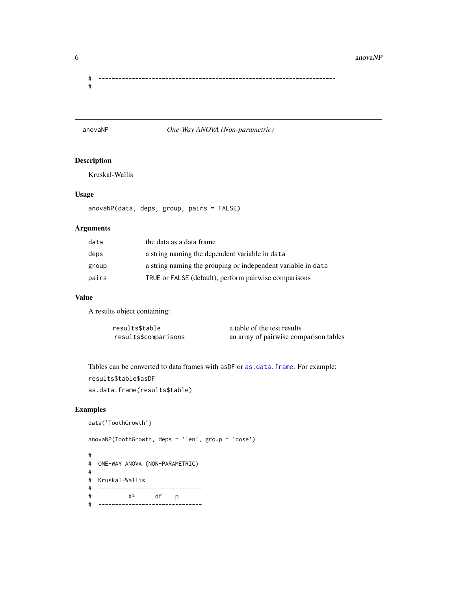<span id="page-5-0"></span>6 anovaNP

# ----------------------------------------------------------------------- #

### anovaNP *One-Way ANOVA (Non-parametric)*

### Description

Kruskal-Wallis

### Usage

anovaNP(data, deps, group, pairs = FALSE)

### Arguments

| data  | the data as a data frame                                     |
|-------|--------------------------------------------------------------|
| deps  | a string naming the dependent variable in data               |
| group | a string naming the grouping or independent variable in data |
| pairs | TRUE or FALSE (default), perform pairwise comparisons        |

### Value

A results object containing:

| results\$table       | a table of the test results            |
|----------------------|----------------------------------------|
| results\$comparisons | an array of pairwise comparison tables |

Tables can be converted to data frames with asDF or [as.data.frame](#page-0-0). For example: results\$table\$asDF

as.data.frame(results\$table)

### Examples

```
data('ToothGrowth')
```
anovaNP(ToothGrowth, deps = 'len', group = 'dose')

# # ONE-WAY ANOVA (NON-PARAMETRIC) # # Kruskal-Wallis # ------------------------------- # X² df p # -------------------------------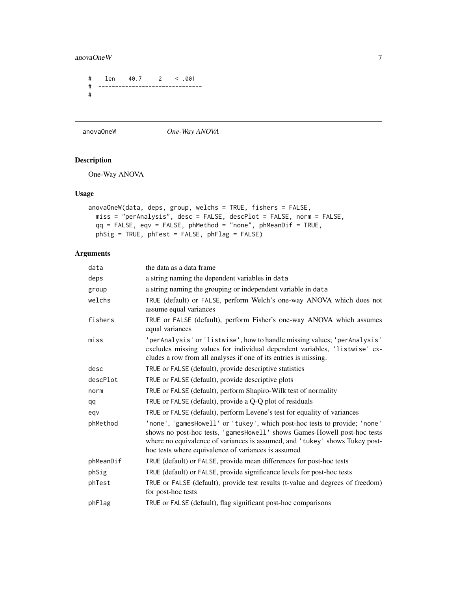### <span id="page-6-0"></span>anovaOneW 7

```
# len 40.7 2 < .001
# -------------------------------
#
```
anovaOneW *One-Way ANOVA*

### Description

One-Way ANOVA

### Usage

```
anovaOneW(data, deps, group, welchs = TRUE, fishers = FALSE,
 miss = "perAnalysis", desc = FALSE, descPlot = FALSE, norm = FALSE,
 qq = FALSE, eqv = FALSE, phMethod = "none", phMeanDif = TRUE,
 phSig = TRUE, phTest = FALSE, phFlag = FALSE)
```

| the data as a data frame                                                                                                                                                                                                                                                                    |
|---------------------------------------------------------------------------------------------------------------------------------------------------------------------------------------------------------------------------------------------------------------------------------------------|
| a string naming the dependent variables in data                                                                                                                                                                                                                                             |
| a string naming the grouping or independent variable in data                                                                                                                                                                                                                                |
| TRUE (default) or FALSE, perform Welch's one-way ANOVA which does not<br>assume equal variances                                                                                                                                                                                             |
| TRUE or FALSE (default), perform Fisher's one-way ANOVA which assumes<br>equal variances                                                                                                                                                                                                    |
| 'perAnalysis' or 'listwise', how to handle missing values; 'perAnalysis'<br>excludes missing values for individual dependent variables, 'listwise' ex-<br>cludes a row from all analyses if one of its entries is missing.                                                                  |
| TRUE or FALSE (default), provide descriptive statistics                                                                                                                                                                                                                                     |
| TRUE or FALSE (default), provide descriptive plots                                                                                                                                                                                                                                          |
| TRUE or FALSE (default), perform Shapiro-Wilk test of normality                                                                                                                                                                                                                             |
| TRUE or FALSE (default), provide a Q-Q plot of residuals                                                                                                                                                                                                                                    |
| TRUE or FALSE (default), perform Levene's test for equality of variances                                                                                                                                                                                                                    |
| 'none', 'gamesHowell' or 'tukey', which post-hoc tests to provide; 'none'<br>shows no post-hoc tests, 'gamesHowell' shows Games-Howell post-hoc tests<br>where no equivalence of variances is assumed, and 'tukey' shows Tukey post-<br>hoc tests where equivalence of variances is assumed |
| TRUE (default) or FALSE, provide mean differences for post-hoc tests                                                                                                                                                                                                                        |
| TRUE (default) or FALSE, provide significance levels for post-hoc tests                                                                                                                                                                                                                     |
| TRUE or FALSE (default), provide test results (t-value and degrees of freedom)<br>for post-hoc tests                                                                                                                                                                                        |
| TRUE or FALSE (default), flag significant post-hoc comparisons                                                                                                                                                                                                                              |
|                                                                                                                                                                                                                                                                                             |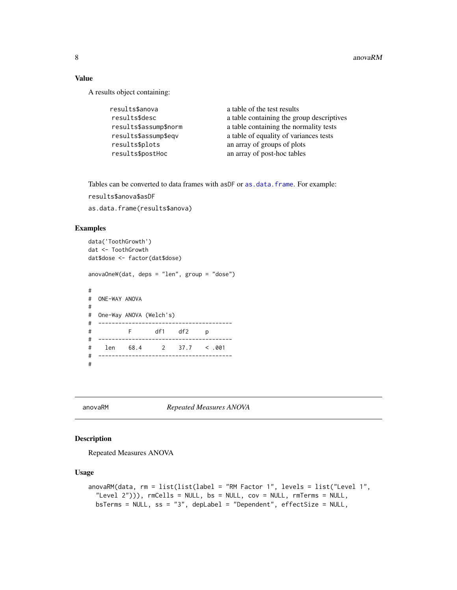8 anovaRM anovaRM and  $\alpha$  and  $\alpha$  and  $\alpha$  and  $\alpha$  and  $\alpha$  and  $\alpha$  and  $\alpha$  and  $\alpha$  and  $\alpha$  and  $\alpha$  and  $\alpha$  and  $\alpha$  and  $\alpha$  and  $\alpha$  and  $\alpha$  and  $\alpha$  and  $\alpha$  and  $\alpha$  and  $\alpha$  and  $\alpha$  and  $\alpha$  and  $\alpha$  and  $\$ 

### Value

A results object containing:

| results\$anova        | a table of the test results               |
|-----------------------|-------------------------------------------|
| results\$desc         | a table containing the group descriptives |
| results\$assump\$norm | a table containing the normality tests    |
| results\$assump\$eqv  | a table of equality of variances tests    |
| results\$plots        | an array of groups of plots               |
| results\$postHoc      | an array of post-hoc tables               |

Tables can be converted to data frames with asDF or [as.data.frame](#page-0-0). For example:

results\$anova\$asDF

as.data.frame(results\$anova)

### Examples

```
data('ToothGrowth')
dat <- ToothGrowth
dat$dose <- factor(dat$dose)
anovaOneW(dat, deps = "len", group = "dose")
#
# ONE-WAY ANOVA
#
# One-Way ANOVA (Welch's)
# ----------------------------------------
# F df1 df2 p
# ----------------------------------------
# len 68.4 2 37.7 < .001
# ----------------------------------------
#
```
anovaRM *Repeated Measures ANOVA*

### Description

Repeated Measures ANOVA

### Usage

```
anovaRM(data, rm = list(list(label = "RM Factor 1", levels = list("Level 1",
  "Level 2"))), rmCells = NULL, bs = NULL, cov = NULL, rmTerms = NULL,
 bsTerms = NULL, ss = "3", depLabel = "Dependent", effectSize = NULL,
```
<span id="page-7-0"></span>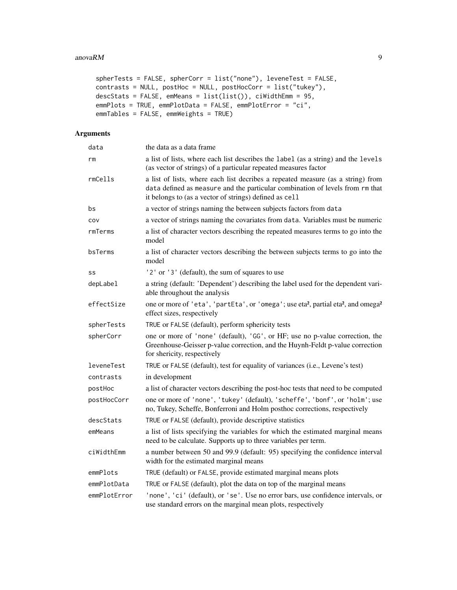```
spherTests = FALSE, spherCorr = list("none"), leveneTest = FALSE,
contrasts = NULL, postHoc = NULL, postHocCorr = list("tukey"),
descStats = FALSE, emMeans = list(list()), ciWidthEmm = 95,
emmPlots = TRUE, emmPlotData = FALSE, emmPlotError = "ci",
emmTables = FALSE, emmWeights = TRUE)
```

| data         | the data as a data frame                                                                                                                                                                                                   |
|--------------|----------------------------------------------------------------------------------------------------------------------------------------------------------------------------------------------------------------------------|
| rm           | a list of lists, where each list describes the label (as a string) and the levels<br>(as vector of strings) of a particular repeated measures factor                                                                       |
| rmCells      | a list of lists, where each list decribes a repeated measure (as a string) from<br>data defined as measure and the particular combination of levels from rm that<br>it belongs to (as a vector of strings) defined as cell |
| bs           | a vector of strings naming the between subjects factors from data                                                                                                                                                          |
| COV          | a vector of strings naming the covariates from data. Variables must be numeric                                                                                                                                             |
| rmTerms      | a list of character vectors describing the repeated measures terms to go into the<br>model                                                                                                                                 |
| bsTerms      | a list of character vectors describing the between subjects terms to go into the<br>model                                                                                                                                  |
| SS           | '2' or '3' (default), the sum of squares to use                                                                                                                                                                            |
| depLabel     | a string (default: 'Dependent') describing the label used for the dependent vari-<br>able throughout the analysis                                                                                                          |
| effectSize   | one or more of 'eta', 'partEta', or 'omega'; use eta <sup>2</sup> , partial eta <sup>2</sup> , and omega <sup>2</sup><br>effect sizes, respectively                                                                        |
| spherTests   | TRUE or FALSE (default), perform sphericity tests                                                                                                                                                                          |
| spherCorr    | one or more of 'none' (default), 'GG', or HF; use no p-value correction, the<br>Greenhouse-Geisser p-value correction, and the Huynh-Feldt p-value correction<br>for shericity, respectively                               |
| leveneTest   | TRUE or FALSE (default), test for equality of variances (i.e., Levene's test)                                                                                                                                              |
| contrasts    | in development                                                                                                                                                                                                             |
| postHoc      | a list of character vectors describing the post-hoc tests that need to be computed                                                                                                                                         |
| postHocCorr  | one or more of 'none', 'tukey' (default), 'scheffe', 'bonf', or 'holm'; use<br>no, Tukey, Scheffe, Bonferroni and Holm posthoc corrections, respectively                                                                   |
| descStats    | TRUE or FALSE (default), provide descriptive statistics                                                                                                                                                                    |
| emMeans      | a list of lists specifying the variables for which the estimated marginal means<br>need to be calculate. Supports up to three variables per term.                                                                          |
| ciWidthEmm   | a number between 50 and 99.9 (default: 95) specifying the confidence interval<br>width for the estimated marginal means                                                                                                    |
| emmPlots     | TRUE (default) or FALSE, provide estimated marginal means plots                                                                                                                                                            |
| emmPlotData  | TRUE or FALSE (default), plot the data on top of the marginal means                                                                                                                                                        |
| emmPlotError | 'none', 'ci' (default), or 'se'. Use no error bars, use confidence intervals, or<br>use standard errors on the marginal mean plots, respectively                                                                           |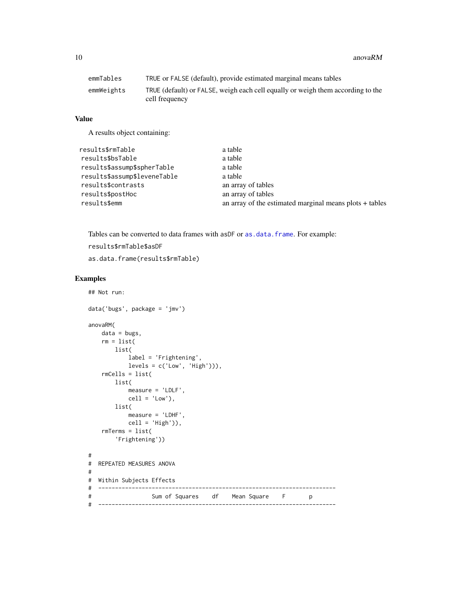<span id="page-9-0"></span>10 anovaRM

| emmTables  | TRUE or FALSE (default), provide estimated marginal means tables                                  |
|------------|---------------------------------------------------------------------------------------------------|
| emmWeights | TRUE (default) or FALSE, weigh each cell equally or weigh them according to the<br>cell frequency |

### Value

A results object containing:

| results\$rmTable             | a table                                                 |
|------------------------------|---------------------------------------------------------|
| results\$bsTable             | a table                                                 |
| results\$assump\$spherTable  | a table                                                 |
| results\$assump\$leveneTable | a table                                                 |
| results\$contrasts           | an array of tables                                      |
| results\$postHoc             | an array of tables                                      |
| results\$emm                 | an array of the estimated marginal means plots + tables |
|                              |                                                         |

Tables can be converted to data frames with asDF or [as.data.frame](#page-0-0). For example:

```
results$rmTable$asDF
```
as.data.frame(results\$rmTable)

```
## Not run:
data('bugs', package = 'jmv')
anovaRM(
   data = bugs,rm = list(list(
           label = 'Frightening',
          levels = c('Low', 'High'))),
    rmCells = list(
       list(
           measure = 'LDLF',
           cell = 'Low'),list(
           measure = 'LDHF',
          cell = 'High'),
   rmTerms = list(
       'Frightening'))
#
# REPEATED MEASURES ANOVA
#
# Within Subjects Effects
# -----------------------------------------------------------------------
# Sum of Squares df Mean Square F p
# -----------------------------------------------------------------------
```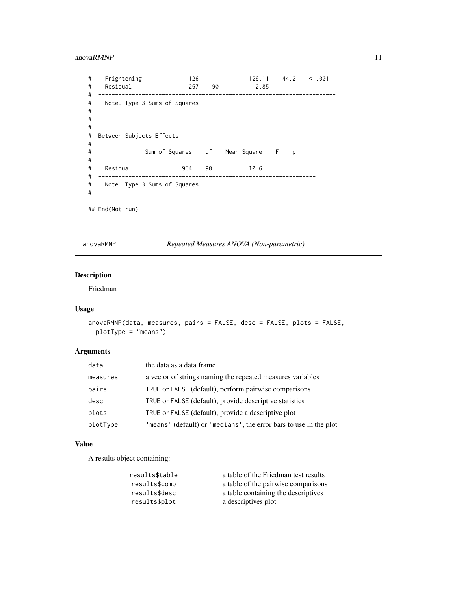### <span id="page-10-0"></span>anovaRMNP 11

| #<br>#<br>#           | Frightening<br>Residual                                  | 126<br>257                      | $\overline{1}$<br>90 | 126.11 44.2<br>2.85 |   | < .001 |
|-----------------------|----------------------------------------------------------|---------------------------------|----------------------|---------------------|---|--------|
| #<br>#<br>#<br>#<br># | Note. Type 3 Sums of Squares<br>Between Subjects Effects |                                 |                      |                     |   |        |
| #<br>#<br>#           |                                                          | Sum of Squares df Mean Square F |                      |                     | D |        |
| #<br>#                | Residual                                                 | 954                             | 90                   | 10.6                |   |        |
| #<br>#                | Note. Type 3 Sums of Squares                             |                                 |                      |                     |   |        |
|                       | ## End(Not run)                                          |                                 |                      |                     |   |        |

anovaRMNP *Repeated Measures ANOVA (Non-parametric)*

## Description

Friedman

### Usage

```
anovaRMNP(data, measures, pairs = FALSE, desc = FALSE, plots = FALSE,
 plotType = "means")
```
### Arguments

| data     | the data as a data frame                                          |
|----------|-------------------------------------------------------------------|
| measures | a vector of strings naming the repeated measures variables        |
| pairs    | TRUE or FALSE (default), perform pairwise comparisons             |
| desc     | TRUE or FALSE (default), provide descriptive statistics           |
| plots    | TRUE or FALSE (default), provide a descriptive plot               |
| plotType | 'means' (default) or 'medians', the error bars to use in the plot |

### Value

A results object containing:

| results\$table | a table of the Friedman test results |
|----------------|--------------------------------------|
| results\$comp  | a table of the pairwise comparisons  |
| results\$desc  | a table containing the descriptives  |
| results\$plot  | a descriptives plot                  |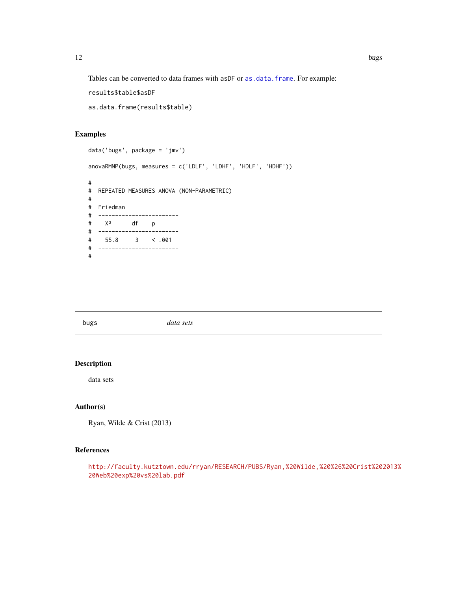<span id="page-11-0"></span>Tables can be converted to data frames with asDF or [as.data.frame](#page-0-0). For example:

results\$table\$asDF

as.data.frame(results\$table)

### Examples

```
data('bugs', package = 'jmv')
anovaRMNP(bugs, measures = c('LDLF', 'LDHF', 'HDLF', 'HDHF'))
#
# REPEATED MEASURES ANOVA (NON-PARAMETRIC)
#
# Friedman
# ------------------------
# X² df p
# ------------------------
# 55.8 3 < .001
# ------------------------
#
```

| bugs | data sets |
|------|-----------|
|      |           |

### Description

data sets

### Author(s)

Ryan, Wilde & Crist (2013)

### References

[http://faculty.kutztown.edu/rryan/RESEARCH/PUBS/Ryan,%20Wilde,%20%26%20Crist%202](http://faculty.kutztown.edu/rryan/RESEARCH/PUBS/Ryan,%20Wilde,%20%26%20Crist%202013%20Web%20exp%20vs%20lab.pdf)013% [20Web%20exp%20vs%20lab.pdf](http://faculty.kutztown.edu/rryan/RESEARCH/PUBS/Ryan,%20Wilde,%20%26%20Crist%202013%20Web%20exp%20vs%20lab.pdf)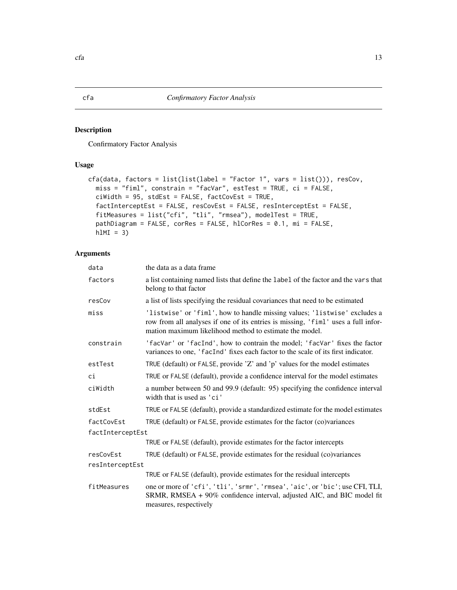### Description

Confirmatory Factor Analysis

### Usage

```
cfa(data, factors = list(list(label = "Factor 1", vars = list())), resCov,
 miss = "fiml", constrain = "facVar", estTest = TRUE, ci = FALSE,
 ciWidth = 95, stdEst = FALSE, factCovEst = TRUE,
  factInterceptEst = FALSE, resCovEst = FALSE, resInterceptEst = FALSE,
  fitMeasures = list("cfi", "tli", "rmsea"), modelTest = TRUE,
  pathDiagram = FALSE, corRes = FALSE, hlCorRes = 0.1, mi = FALSE,
  h1MI = 3)
```
### Arguments

| data             | the data as a data frame                                                                                                                                                                                                  |  |  |
|------------------|---------------------------------------------------------------------------------------------------------------------------------------------------------------------------------------------------------------------------|--|--|
| factors          | a list containing named lists that define the label of the factor and the vars that<br>belong to that factor                                                                                                              |  |  |
| resCov           | a list of lists specifying the residual covariances that need to be estimated                                                                                                                                             |  |  |
| miss             | 'listwise' or 'fiml', how to handle missing values; 'listwise' excludes a<br>row from all analyses if one of its entries is missing, 'fiml' uses a full infor-<br>mation maximum likelihood method to estimate the model. |  |  |
| constrain        | 'facVar' or 'facInd', how to contrain the model; 'facVar' fixes the factor<br>variances to one, 'facInd' fixes each factor to the scale of its first indicator.                                                           |  |  |
| estTest          | TRUE (default) or FALSE, provide 'Z' and 'p' values for the model estimates                                                                                                                                               |  |  |
| сi               | TRUE or FALSE (default), provide a confidence interval for the model estimates                                                                                                                                            |  |  |
| ciWidth          | a number between 50 and 99.9 (default: 95) specifying the confidence interval<br>width that is used as 'ci'                                                                                                               |  |  |
| stdEst           | TRUE or FALSE (default), provide a standardized estimate for the model estimates                                                                                                                                          |  |  |
| factCovEst       | TRUE (default) or FALSE, provide estimates for the factor (co)variances                                                                                                                                                   |  |  |
| factInterceptEst |                                                                                                                                                                                                                           |  |  |
|                  | TRUE or FALSE (default), provide estimates for the factor intercepts                                                                                                                                                      |  |  |
| resCovEst        | TRUE (default) or FALSE, provide estimates for the residual (co)variances                                                                                                                                                 |  |  |
| resInterceptEst  |                                                                                                                                                                                                                           |  |  |
|                  | TRUE or FALSE (default), provide estimates for the residual intercepts                                                                                                                                                    |  |  |
| fitMeasures      | one or more of 'cfi', 'tli', 'srmr', 'rmsea', 'aic', or 'bic'; use CFI, TLI,<br>SRMR, RMSEA + 90% confidence interval, adjusted AIC, and BIC model fit<br>measures, respectively                                          |  |  |

<span id="page-12-0"></span> $cfa$  13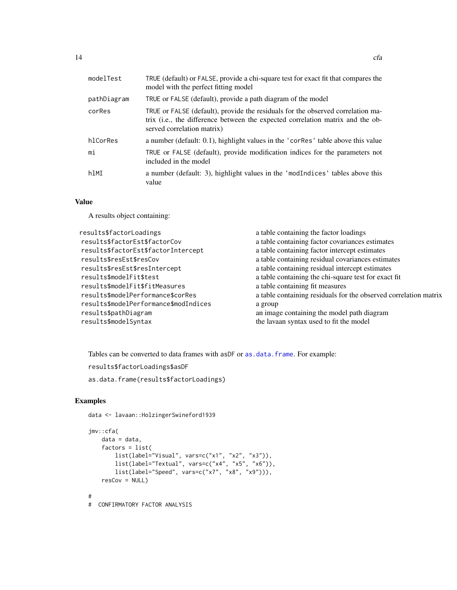<span id="page-13-0"></span>

| modelTest   | TRUE (default) or FALSE, provide a chi-square test for exact fit that compares the<br>model with the perfect fitting model                                                                      |
|-------------|-------------------------------------------------------------------------------------------------------------------------------------------------------------------------------------------------|
| pathDiagram | TRUE or FALSE (default), provide a path diagram of the model                                                                                                                                    |
| corRes      | TRUE or FALSE (default), provide the residuals for the observed correlation ma-<br>trix (i.e., the difference between the expected correlation matrix and the ob-<br>served correlation matrix) |
| hlCorRes    | a number (default: 0.1), highlight values in the 'corRes' table above this value                                                                                                                |
| mi          | TRUE or FALSE (default), provide modification indices for the parameters not<br>included in the model                                                                                           |
| hlMI        | a number (default: 3), highlight values in the 'modIndices' tables above this<br>value                                                                                                          |

### Value

A results object containing:

| results\$factorLoadings               | a table containing the factor loadings                           |
|---------------------------------------|------------------------------------------------------------------|
| results\$factorEst\$factorCov         | a table containing factor covariances estimates                  |
| results\$factorEst\$factorIntercept   | a table containing factor intercept estimates                    |
| results\$resEst\$resCov               | a table containing residual covariances estimates                |
| results\$resEst\$resIntercept         | a table containing residual intercept estimates                  |
| results\$modelFit\$test               | a table containing the chi-square test for exact fit             |
| results\$modelFit\$fitMeasures        | a table containing fit measures                                  |
| results\$modelPerformance\$corRes     | a table containing residuals for the observed correlation matrix |
| results\$modelPerformance\$modIndices | a group                                                          |
| results\$pathDiagram                  | an image containing the model path diagram                       |
| results\$modelSyntax                  | the lavaan syntax used to fit the model                          |
|                                       |                                                                  |

Tables can be converted to data frames with asDF or [as.data.frame](#page-0-0). For example:

```
results$factorLoadings$asDF
```
as.data.frame(results\$factorLoadings)

### Examples

data <- lavaan::HolzingerSwineford1939

```
jmv::cfa(
   data = data,
   factors = list(
        list(label="Visual", vars=c("x1", "x2", "x3")),
        list(label="Textual", vars=c("x4", "x5", "x6")),
        list(label="Speed", vars=c("x7", "x8", "x9"))),
   resCov = NULL)
#
# CONFIRMATORY FACTOR ANALYSIS
```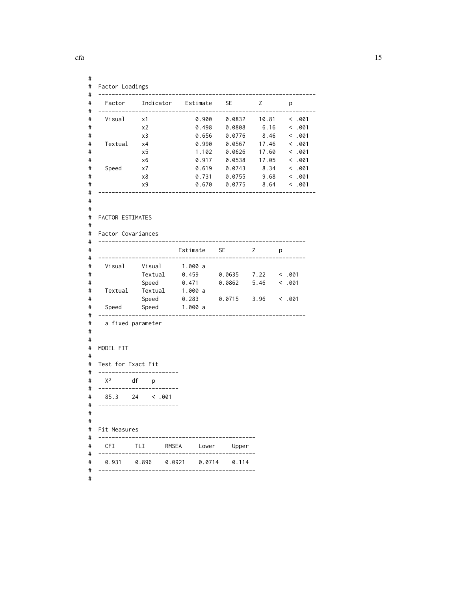```
#
# Factor Loadings
# -----------------------------------------------------------------
# Factor Indicator Estimate SE Z p
# -----------------------------------------------------------------
# Visual x1 0.900 0.0832 10.81 < .001
# x2 0.498 0.0808 6.16 < .001
# x3 0.656 0.0776 8.46 < .001
# Textual x4 0.990 0.0567 17.46 < .001
# x5 1.102 0.0626 17.60 < .001
# x6 0.917 0.0538 17.05 < .001
# Speed x7 0.619 0.0743 8.34 < .001
# x8 0.731 0.0755 9.68 < .001
# x9 0.670 0.0775 8.64 < .001
# -----------------------------------------------------------------
#
#
# FACTOR ESTIMATES
#
# Factor Covariances
# --------------------------------------------------------------
# Estimate SE Z p
# --------------------------------------------------------------
# Visual Visual 1.000 a
# Textual 0.459 0.0635 7.22 < .001
# Speed 0.471 0.0862 5.46 < .001
# Textual Textual 1.000 a
# Speed 0.283 0.0715 3.96 < .001
# Speed Speed 1.000 a
# --------------------------------------------------------------
# a fixed parameter
#
#
# MODEL FIT
#
# Test for Exact Fit
# ------------------------
# X² df p
# ------------------------
# 85.3 24 < .001
# ------------------------
#
#
# Fit Measures
# -----------------------------------------------
# CFI TLI RMSEA Lower Upper
# -----------------------------------------------
# 0.931 0.896 0.0921 0.0714 0.114
# -----------------------------------------------
#
```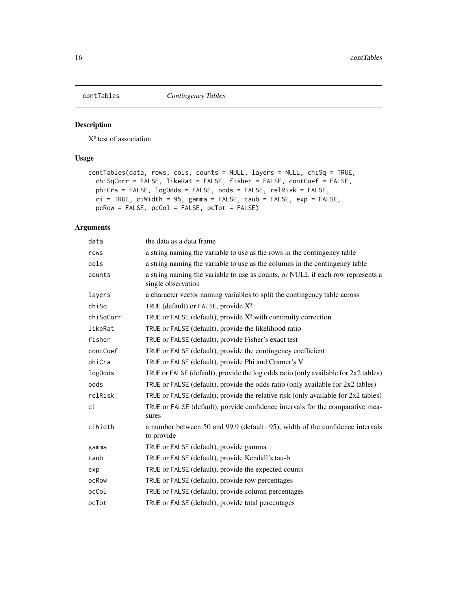<span id="page-15-0"></span>

### Description

X² test of association

### Usage

```
contTables(data, rows, cols, counts = NULL, layers = NULL, chiSq = TRUE,
 chiSqCorr = FALSE, likeRat = FALSE, fisher = FALSE, contCoef = FALSE,
 phiCra = FALSE, logOdds = FALSE, odds = FALSE, relRisk = FALSE,
 ci = TRUE, ciWidth = 95, gamma = FALSE, taub = FALSE, exp = FALSE,
 pcRow = FALSE, pcCol = FALSE, pcTot = FALSE)
```

| data      | the data as a data frame                                                                              |  |  |
|-----------|-------------------------------------------------------------------------------------------------------|--|--|
| rows      | a string naming the variable to use as the rows in the contingency table                              |  |  |
| cols      | a string naming the variable to use as the columns in the contingency table                           |  |  |
| counts    | a string naming the variable to use as counts, or NULL if each row represents a<br>single observation |  |  |
| layers    | a character vector naming variables to split the contingency table across                             |  |  |
| chiSq     | TRUE (default) or FALSE, provide $X^2$                                                                |  |  |
| chiSqCorr | TRUE or FALSE (default), provide $X^2$ with continuity correction                                     |  |  |
| likeRat   | TRUE or FALSE (default), provide the likelihood ratio                                                 |  |  |
| fisher    | TRUE or FALSE (default), provide Fisher's exact test                                                  |  |  |
| contCoef  | TRUE or FALSE (default), provide the contingency coefficient                                          |  |  |
| phiCra    | TRUE or FALSE (default), provide Phi and Cramer's V                                                   |  |  |
| log0dds   | TRUE or FALSE (default), provide the log odds ratio (only available for 2x2 tables)                   |  |  |
| odds      | TRUE or FALSE (default), provide the odds ratio (only available for $2x2$ tables)                     |  |  |
| relRisk   | TRUE or FALSE (default), provide the relative risk (only available for $2x2$ tables)                  |  |  |
| сi        | TRUE or FALSE (default), provide confidence intervals for the comparative mea-<br>sures               |  |  |
| ciWidth   | a number between 50 and 99.9 (default: 95), width of the confidence intervals<br>to provide           |  |  |
| gamma     | TRUE or FALSE (default), provide gamma                                                                |  |  |
| taub      | TRUE or FALSE (default), provide Kendall's tau-b                                                      |  |  |
| exp       | TRUE or FALSE (default), provide the expected counts                                                  |  |  |
| pcRow     | TRUE or FALSE (default), provide row percentages                                                      |  |  |
| pcCol     | TRUE or FALSE (default), provide column percentages                                                   |  |  |
| pcTot     | TRUE or FALSE (default), provide total percentages                                                    |  |  |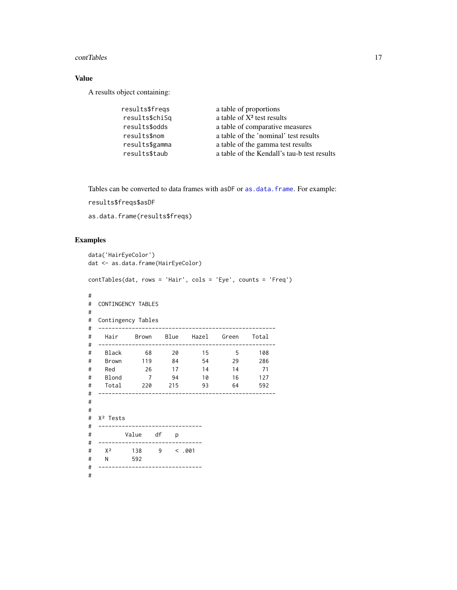#### <span id="page-16-0"></span>contTables 17

### Value

A results object containing:

| results\$freqs | a table of proportions                      |
|----------------|---------------------------------------------|
| results\$chiSq | a table of $X^2$ test results               |
| results\$odds  | a table of comparative measures             |
| results\$nom   | a table of the 'nominal' test results       |
| results\$gamma | a table of the gamma test results           |
| results\$taub  | a table of the Kendall's tau-b test results |

Tables can be converted to data frames with asDF or [as.data.frame](#page-0-0). For example:

results\$freqs\$asDF

as.data.frame(results\$freqs)

```
data('HairEyeColor')
dat <- as.data.frame(HairEyeColor)
contTables(dat, rows = 'Hair', cols = 'Eye', counts = 'Freq')
#
# CONTINGENCY TABLES
#
# Contingency Tables
# -----------------------------------------------------
# Hair Brown Blue Hazel Green Total
# -----------------------------------------------------
# Black 68 20 15 5 108
# Brown 119 84 54 29 286
# Red 26 17 14 14 71
# Blond 7 94 10 16 127
# Total 220 215 93 64 592
# -----------------------------------------------------
#
#
# X² Tests
# -------------------------------
# Value df p
# -------------------------------
# X² 138 9 < .001
# N 592
# -------------------------------
#
```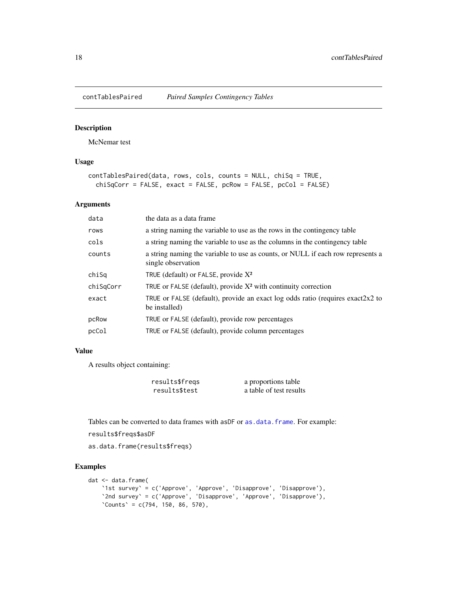<span id="page-17-0"></span>

### Description

McNemar test

### Usage

```
contTablesPaired(data, rows, cols, counts = NULL, chiSq = TRUE,
  chiSqCorr = FALSE, exact = FALSE, pcRow = FALSE, pcCol = FALSE)
```
### Arguments

| data      | the data as a data frame                                                                              |
|-----------|-------------------------------------------------------------------------------------------------------|
| rows      | a string naming the variable to use as the rows in the contingency table                              |
| cols      | a string naming the variable to use as the columns in the contingency table                           |
| counts    | a string naming the variable to use as counts, or NULL if each row represents a<br>single observation |
| chiSq     | TRUE (default) or FALSE, provide $X^2$                                                                |
| chiSqCorr | TRUE or FALSE (default), provide $X^2$ with continuity correction                                     |
| exact     | TRUE or FALSE (default), provide an exact log odds ratio (requires exact $2x^2$ to<br>be installed)   |
| pcRow     | TRUE or FALSE (default), provide row percentages                                                      |
| pcCol     | TRUE or FALSE (default), provide column percentages                                                   |
|           |                                                                                                       |

### Value

A results object containing:

| results\$freqs | a proportions table     |
|----------------|-------------------------|
| results\$test  | a table of test results |

Tables can be converted to data frames with asDF or [as.data.frame](#page-0-0). For example:

```
results$freqs$asDF
```
as.data.frame(results\$freqs)

```
dat <- data.frame(
    `1st survey` = c('Approve', 'Approve', 'Disapprove', 'Disapprove'),
    `2nd survey` = c('Approve', 'Disapprove', 'Approve', 'Disapprove'),
    `Counts` = c(794, 150, 86, 570),
```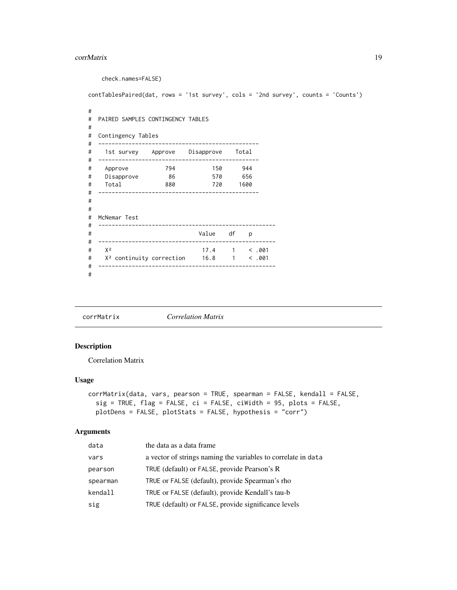#### <span id="page-18-0"></span>corrMatrix 19

check.names=FALSE) contTablesPaired(dat, rows = '1st survey', cols = '2nd survey', counts = 'Counts') # # PAIRED SAMPLES CONTINGENCY TABLES # # Contingency Tables # ------------------------------------------------ # 1st survey Approve Disapprove Total # ------------------------------------------------ # Approve 794 150 944 # Disapprove 86 570 656 # Total 880 720 1600 # ------------------------------------------------ # # # McNemar Test # ----------------------------------------------------- # Value df p # ----------------------------------------------------- # X² 17.4 1 < .001 # X² continuity correction 16.8 1 < .001 # ----------------------------------------------------- #

corrMatrix *Correlation Matrix*

### Description

Correlation Matrix

### Usage

```
corrMatrix(data, vars, pearson = TRUE, spearman = FALSE, kendall = FALSE,
  sig = TRUE, flag = FALSE, ci = FALSE, ciWidth = 95, plots = FALSE,plotDens = FALSE, plotStats = FALSE, hypothesis = "corr")
```

| data     | the data as a data frame                                      |
|----------|---------------------------------------------------------------|
| vars     | a vector of strings naming the variables to correlate in data |
| pearson  | TRUE (default) or FALSE, provide Pearson's R                  |
| spearman | TRUE or FALSE (default), provide Spearman's rho               |
| kendall  | TRUE or FALSE (default), provide Kendall's tau-b              |
| sig      | TRUE (default) or FALSE, provide significance levels          |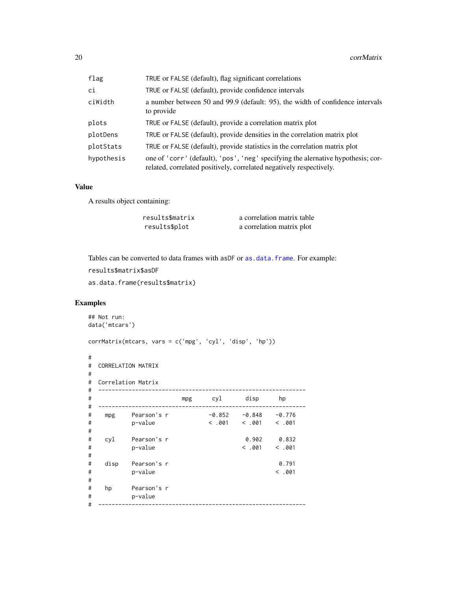<span id="page-19-0"></span>

| flag       | TRUE or FALSE (default), flag significant correlations                                                                                                  |
|------------|---------------------------------------------------------------------------------------------------------------------------------------------------------|
| сi         | TRUE or FALSE (default), provide confidence intervals                                                                                                   |
| ciWidth    | a number between 50 and 99.9 (default: 95), the width of confidence intervals<br>to provide                                                             |
| plots      | TRUE or FALSE (default), provide a correlation matrix plot                                                                                              |
| plotDens   | TRUE or FALSE (default), provide densities in the correlation matrix plot                                                                               |
| plotStats  | TRUE or FALSE (default), provide statistics in the correlation matrix plot                                                                              |
| hypothesis | one of 'corr' (default), 'pos', 'neg' specifying the alernative hypothesis; cor-<br>related, correlated positively, correlated negatively respectively. |

### Value

A results object containing:

| results\$matrix | a correlation matrix table |
|-----------------|----------------------------|
| results\$plot   | a correlation matrix plot  |

Tables can be converted to data frames with asDF or [as.data.frame](#page-0-0). For example:

```
results$matrix$asDF
```

```
as.data.frame(results$matrix)
```

```
## Not run:
data('mtcars')
corrMatrix(mtcars, vars = c('mpg', 'cyl', 'disp', 'hp'))
#
# CORRELATION MATRIX
#
# Correlation Matrix
# --------------------------------------------------------------
# mpg cyl disp hp
# --------------------------------------------------------------
# mpg Pearson's r -0.852 -0.848 -0.776
# p-value < .001 < .001 < .001
#
# cyl Pearson's r 0.902 0.832
# p-value < .001 < .001
#
# disp Pearson's r 0.791
# p-value < .001
#
# hp Pearson's r
# p-value
 # --------------------------------------------------------------
```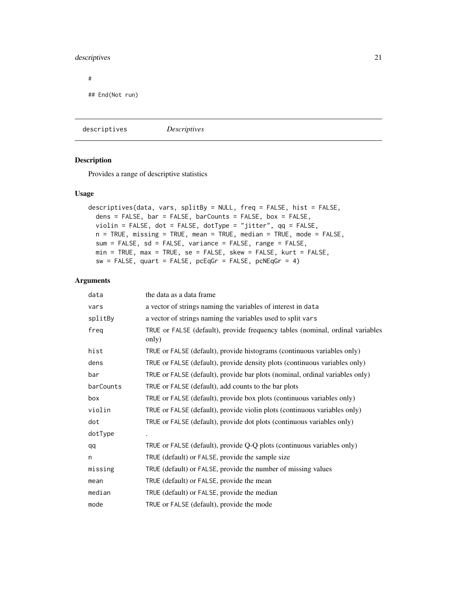### <span id="page-20-0"></span>descriptives 21

#

## End(Not run)

descriptives *Descriptives*

### Description

Provides a range of descriptive statistics

### Usage

```
descriptives(data, vars, splitBy = NULL, freq = FALSE, hist = FALSE,
  dens = FALSE, bar = FALSE, barCounts = FALSE, box = FALSE,
 violin = FALSE, dot = FALSE, dotType = "jitter", qq = FALSE,
 n = TRUE, missing = TRUE, mean = TRUE, median = TRUE, mode = FALSE,
  sum = FALSE, sd = FALSE, variance = FALSE, range = FALSE,
 min = TRUE, max = TRUE, se = FALSE, skew = FALSE, kurt = FALSE,
 sw = FALSE, quart = FALSE, pcEqGr = FALSE, pcNEqGr = 4)
```

| data      | the data as a data frame                                                               |
|-----------|----------------------------------------------------------------------------------------|
| vars      | a vector of strings naming the variables of interest in data                           |
| splitBy   | a vector of strings naming the variables used to split vars                            |
| freq      | TRUE or FALSE (default), provide frequency tables (nominal, ordinal variables<br>only) |
| hist      | TRUE or FALSE (default), provide histograms (continuous variables only)                |
| dens      | TRUE or FALSE (default), provide density plots (continuous variables only)             |
| bar       | TRUE or FALSE (default), provide bar plots (nominal, ordinal variables only)           |
| barCounts | TRUE or FALSE (default), add counts to the bar plots                                   |
| box       | TRUE or FALSE (default), provide box plots (continuous variables only)                 |
| violin    | TRUE or FALSE (default), provide violin plots (continuous variables only)              |
| dot       | TRUE or FALSE (default), provide dot plots (continuous variables only)                 |
| dotType   |                                                                                        |
| qq        | TRUE or FALSE (default), provide Q-Q plots (continuous variables only)                 |
| n         | TRUE (default) or FALSE, provide the sample size                                       |
| missing   | TRUE (default) or FALSE, provide the number of missing values                          |
| mean      | TRUE (default) or FALSE, provide the mean                                              |
| median    | TRUE (default) or FALSE, provide the median                                            |
| mode      | TRUE or FALSE (default), provide the mode                                              |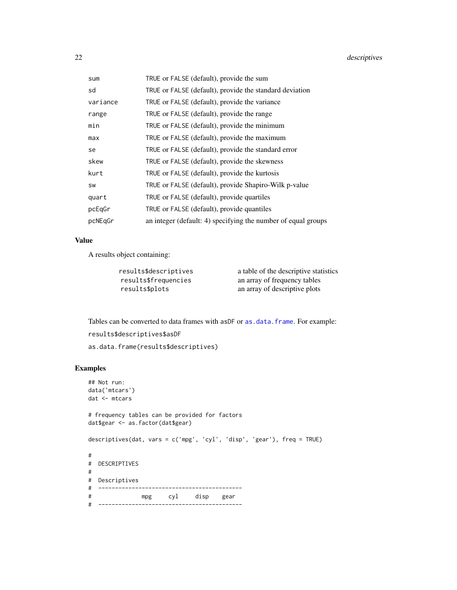<span id="page-21-0"></span>

| sum      | TRUE or FALSE (default), provide the sum                      |
|----------|---------------------------------------------------------------|
| sd       | TRUE or FALSE (default), provide the standard deviation       |
| variance | TRUE or FALSE (default), provide the variance                 |
| range    | TRUE or FALSE (default), provide the range                    |
| min      | TRUE or FALSE (default), provide the minimum                  |
| max      | TRUE or FALSE (default), provide the maximum                  |
| se       | TRUE or FALSE (default), provide the standard error           |
| skew     | TRUE or FALSE (default), provide the skewness                 |
| kurt     | TRUE or FALSE (default), provide the kurtosis                 |
| SW       | TRUE or FALSE (default), provide Shapiro-Wilk p-value         |
| quart    | TRUE or FALSE (default), provide quartiles                    |
| pcEqGr   | TRUE or FALSE (default), provide quantiles                    |
| pcNEqGr  | an integer (default: 4) specifying the number of equal groups |

### Value

A results object containing:

results\$descriptives a table of the descriptive statistics results\$frequencies an array of frequency tables results\$plots an array of descriptive plots

Tables can be converted to data frames with asDF or [as.data.frame](#page-0-0). For example:

```
results$descriptives$asDF
```

```
as.data.frame(results$descriptives)
```

```
## Not run:
data('mtcars')
dat <- mtcars
# frequency tables can be provided for factors
dat$gear <- as.factor(dat$gear)
descriptives(dat, vars = c('mpg', 'cyl', 'disp', 'gear'), freq = TRUE)
#
# DESCRIPTIVES
#
# Descriptives
# -------------------------------------------
# mpg cyl disp gear
# -------------------------------------------
```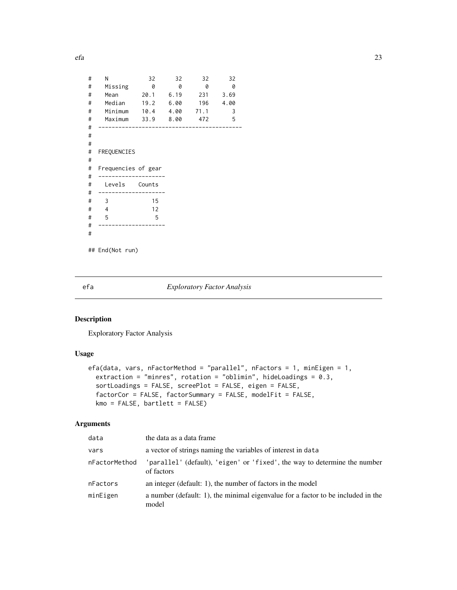<span id="page-22-0"></span>efa 23

| # | N                        | 32        | 32 | 32       | 32       |
|---|--------------------------|-----------|----|----------|----------|
| # | Missing                  | 0         | 0  | 0        | 0        |
| # | Mean                     | 20.1 6.19 |    | 231 3.69 |          |
| # | Median 19.2 6.00         |           |    |          | 196 4.00 |
| # | Minimum 10.4 4.00 71.1   |           |    |          | 3        |
|   |                          |           |    |          |          |
| # | Maximum 33.9 8.00 472    |           |    |          | 5        |
| # |                          |           |    |          |          |
| # |                          |           |    |          |          |
| # |                          |           |    |          |          |
| # | FREQUENCIES              |           |    |          |          |
| # |                          |           |    |          |          |
| # | Frequencies of gear      |           |    |          |          |
| # |                          |           |    |          |          |
| # | Levels Counts            |           |    |          |          |
| # |                          |           |    |          |          |
| # | $\overline{\phantom{a}}$ | 15        |    |          |          |
| # | $\overline{4}$           | 12        |    |          |          |
| # | $-5$                     | 5         |    |          |          |
| # |                          |           |    |          |          |
| # |                          |           |    |          |          |
|   |                          |           |    |          |          |
|   | ## End(Not run)          |           |    |          |          |
|   |                          |           |    |          |          |

### efa *Exploratory Factor Analysis*

### Description

Exploratory Factor Analysis

### Usage

```
efa(data, vars, nFactorMethod = "parallel", nFactors = 1, minEigen = 1,
 extraction = "minres", rotation = "oblimin", hideLoadings = 0.3,
  sortLoadings = FALSE, screePlot = FALSE, eigen = FALSE,
  factorCor = FALSE, factorSummary = FALSE, modelFit = FALSE,
 kmo = FALSE, bartlett = FALSE)
```

| data          | the data as a data frame                                                                  |
|---------------|-------------------------------------------------------------------------------------------|
| vars          | a vector of strings naming the variables of interest in data                              |
| nFactorMethod | 'parallel' (default), 'eigen' or 'fixed', the way to determine the number<br>of factors   |
| nFactors      | an integer (default: 1), the number of factors in the model                               |
| minEigen      | a number (default: 1), the minimal eigenvalue for a factor to be included in the<br>model |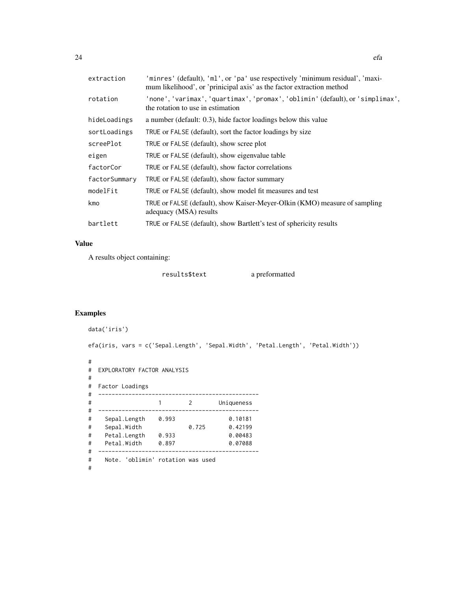extraction 'minres' (default), 'ml', or 'pa' use respectively 'minimum residual', 'maximum likelihood', or 'prinicipal axis' as the factor extraction method

| rotation      | 'none', 'varimax', 'quartimax', 'promax', 'oblimin' (default), or 'simplimax',<br>the rotation to use in estimation |
|---------------|---------------------------------------------------------------------------------------------------------------------|
| hideLoadings  | a number (default: 0.3), hide factor loadings below this value                                                      |
| sortLoadings  | TRUE or FALSE (default), sort the factor loadings by size                                                           |
| screePlot     | TRUE or FALSE (default), show scree plot                                                                            |
| eigen         | TRUE or FALSE (default), show eigenvalue table                                                                      |
| factorCor     | TRUE or FALSE (default), show factor correlations                                                                   |
| factorSummary | TRUE or FALSE (default), show factor summary                                                                        |
| modelFit      | TRUE or FALSE (default), show model fit measures and test                                                           |
| kmo           | TRUE or FALSE (default), show Kaiser-Meyer-Olkin (KMO) measure of sampling<br>adequacy (MSA) results                |
| bartlett      | TRUE or FALSE (default), show Bartlett's test of sphericity results                                                 |

### Value

A results object containing:

results\$text a preformatted

```
data('iris')
efa(iris, vars = c('Sepal.Length', 'Sepal.Width', 'Petal.Length', 'Petal.Width'))
#
# EXPLORATORY FACTOR ANALYSIS
#
# Factor Loadings
# ------------------------------------------------
# 1 2 Uniqueness
# ------------------------------------------------
# Sepal.Length 0.993 0.10181
# Sepal.Width 0.725 0.42199
# Petal.Length 0.933 0.00483
# Petal.Width 0.897 0.07088
# ------------------------------------------------
# Note. 'oblimin' rotation was used
#
```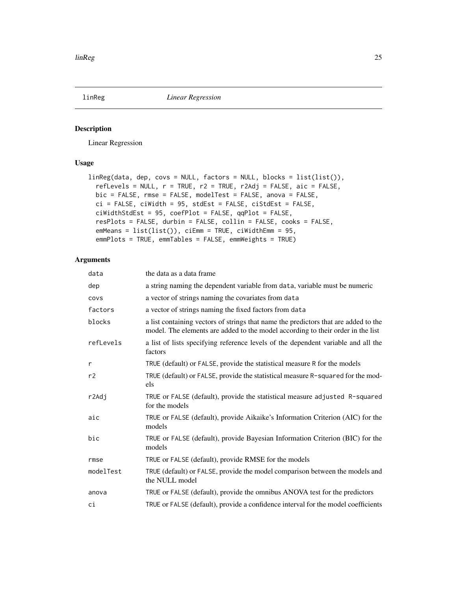<span id="page-24-0"></span>

### Description

Linear Regression

### Usage

```
linReg(data, dep, covs = NULL, factors = NULL, blocks = list(list()),
  reflevels = NULL, r = TRUE, r2 = TRUE, r2Adj = FALSE, aic = FALSE,bic = FALSE, rmse = FALSE, modelTest = FALSE, anova = FALSE,
 ci = FALSE, ciWidth = 95, stdEst = FALSE, ciStdEst = FALSE,
 ciWidthStdEst = 95, coefPlot = FALSE, qqPlot = FALSE,
  resPlots = FALSE, durbin = FALSE, collin = FALSE, cooks = FALSE,
 emMeans = list(list()), ciEmm = TRUE, ciWidthEmm = 95,
  emmPlots = TRUE, emmTables = FALSE, emmWeights = TRUE)
```

| data      | the data as a data frame                                                                                                                                               |
|-----------|------------------------------------------------------------------------------------------------------------------------------------------------------------------------|
| dep       | a string naming the dependent variable from data, variable must be numeric                                                                                             |
| covs      | a vector of strings naming the covariates from data                                                                                                                    |
| factors   | a vector of strings naming the fixed factors from data                                                                                                                 |
| blocks    | a list containing vectors of strings that name the predictors that are added to the<br>model. The elements are added to the model according to their order in the list |
| refLevels | a list of lists specifying reference levels of the dependent variable and all the<br>factors                                                                           |
| r         | TRUE (default) or FALSE, provide the statistical measure R for the models                                                                                              |
| r2        | TRUE (default) or FALSE, provide the statistical measure R-squared for the mod-<br>els                                                                                 |
| r2Adj     | TRUE or FALSE (default), provide the statistical measure adjusted R-squared<br>for the models                                                                          |
| aic       | TRUE or FALSE (default), provide Aikaike's Information Criterion (AIC) for the<br>models                                                                               |
| bic       | TRUE or FALSE (default), provide Bayesian Information Criterion (BIC) for the<br>models                                                                                |
| rmse      | TRUE or FALSE (default), provide RMSE for the models                                                                                                                   |
| modelTest | TRUE (default) or FALSE, provide the model comparison between the models and<br>the NULL model                                                                         |
| anova     | TRUE or FALSE (default), provide the omnibus ANOVA test for the predictors                                                                                             |
| сi        | TRUE or FALSE (default), provide a confidence interval for the model coefficients                                                                                      |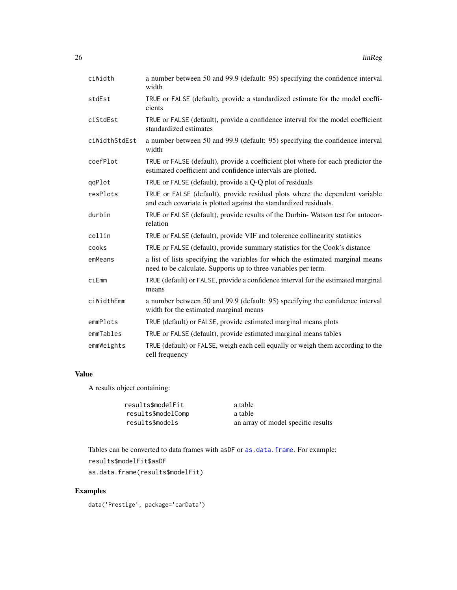<span id="page-25-0"></span>

| ciWidth       | a number between 50 and 99.9 (default: 95) specifying the confidence interval<br>width                                                            |
|---------------|---------------------------------------------------------------------------------------------------------------------------------------------------|
| stdEst        | TRUE or FALSE (default), provide a standardized estimate for the model coeffi-<br>cients                                                          |
| ciStdEst      | TRUE or FALSE (default), provide a confidence interval for the model coefficient<br>standardized estimates                                        |
| ciWidthStdEst | a number between 50 and 99.9 (default: 95) specifying the confidence interval<br>width                                                            |
| coefPlot      | TRUE or FALSE (default), provide a coefficient plot where for each predictor the<br>estimated coefficient and confidence intervals are plotted.   |
| qqPlot        | TRUE or FALSE (default), provide a Q-Q plot of residuals                                                                                          |
| resPlots      | TRUE or FALSE (default), provide residual plots where the dependent variable<br>and each covariate is plotted against the standardized residuals. |
| durbin        | TRUE or FALSE (default), provide results of the Durbin-Watson test for autocor-<br>relation                                                       |
| collin        | TRUE or FALSE (default), provide VIF and tolerence collinearity statistics                                                                        |
| cooks         | TRUE or FALSE (default), provide summary statistics for the Cook's distance                                                                       |
| emMeans       | a list of lists specifying the variables for which the estimated marginal means<br>need to be calculate. Supports up to three variables per term. |
| ciEmm         | TRUE (default) or FALSE, provide a confidence interval for the estimated marginal<br>means                                                        |
| ciWidthEmm    | a number between 50 and 99.9 (default: 95) specifying the confidence interval<br>width for the estimated marginal means                           |
| emmPlots      | TRUE (default) or FALSE, provide estimated marginal means plots                                                                                   |
| emmTables     | TRUE or FALSE (default), provide estimated marginal means tables                                                                                  |
| emmWeights    | TRUE (default) or FALSE, weigh each cell equally or weigh them according to the<br>cell frequency                                                 |

### Value

A results object containing:

| results\$modelFit  | a table                            |
|--------------------|------------------------------------|
| results\$modelComp | a table                            |
| results\$models    | an array of model specific results |

Tables can be converted to data frames with asDF or [as.data.frame](#page-0-0). For example: results\$modelFit\$asDF as.data.frame(results\$modelFit)

### Examples

data('Prestige', package='carData')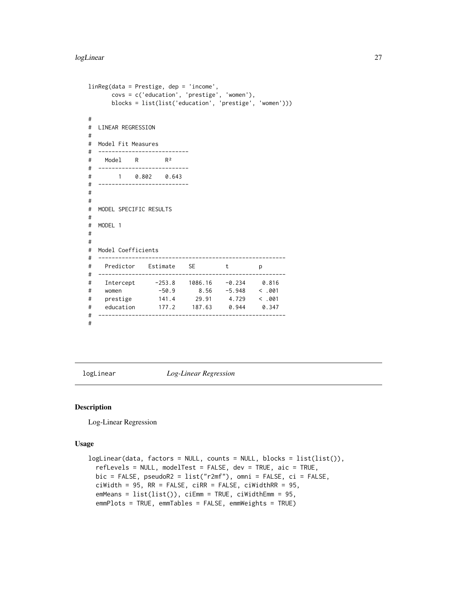```
linReg(data = Prestige, dep = 'income',
     covs = c('education', 'prestige', 'women'),
     blocks = list(list('education', 'prestige', 'women')))
#
# LINEAR REGRESSION
#
# Model Fit Measures
# ---------------------------
# Model R R²
# ---------------------------
# 1 0.802 0.643
# ---------------------------
#
#
# MODEL SPECIFIC RESULTS
#
# MODEL 1
#
#
# Model Coefficients
# --------------------------------------------------------
# Predictor Estimate SE t p
# --------------------------------------------------------
# Intercept -253.8 1086.16 -0.234 0.816
# women -50.9 8.56 -5.948 < .001
# prestige 141.4 29.91 4.729 < .001
# education 177.2 187.63 0.944 0.347
# --------------------------------------------------------
#
```
logLinear *Log-Linear Regression*

#### Description

Log-Linear Regression

### Usage

```
logLinear(data, factors = NULL, counts = NULL, blocks = list(list()),
  refLevels = NULL, modelTest = FALSE, dev = TRUE, aic = TRUE,
 bic = FALSE, pseudoR2 = list("r2mf"), omni = FALSE, ci = FALSE,
 cividth = 95, RR = FALSE, cirR = FALSE, cividthRR = 95,
  emMeans = list(list()), ciEmm = TRUE, ciWidthEmm = 95,
  emmPlots = TRUE, emmTables = FALSE, emmWeights = TRUE)
```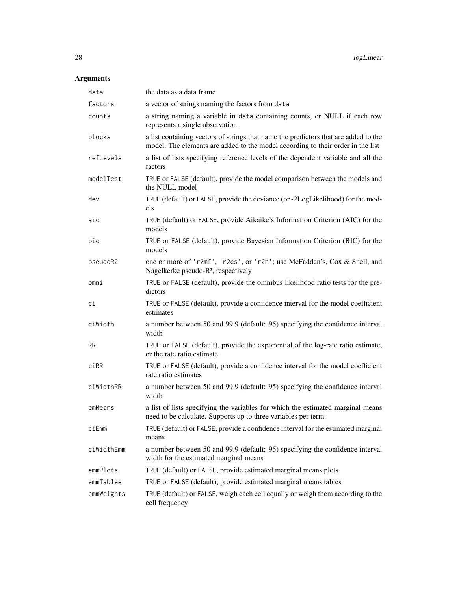| data       | the data as a data frame                                                                                                                                               |
|------------|------------------------------------------------------------------------------------------------------------------------------------------------------------------------|
| factors    | a vector of strings naming the factors from data                                                                                                                       |
| counts     | a string naming a variable in data containing counts, or NULL if each row<br>represents a single observation                                                           |
| blocks     | a list containing vectors of strings that name the predictors that are added to the<br>model. The elements are added to the model according to their order in the list |
| refLevels  | a list of lists specifying reference levels of the dependent variable and all the<br>factors                                                                           |
| modelTest  | TRUE or FALSE (default), provide the model comparison between the models and<br>the NULL model                                                                         |
| dev        | TRUE (default) or FALSE, provide the deviance (or -2LogLikelihood) for the mod-<br>els                                                                                 |
| aic        | TRUE (default) or FALSE, provide Aikaike's Information Criterion (AIC) for the<br>models                                                                               |
| bic        | TRUE or FALSE (default), provide Bayesian Information Criterion (BIC) for the<br>models                                                                                |
| pseudoR2   | one or more of 'r2mf', 'r2cs', or 'r2n'; use McFadden's, Cox & Snell, and<br>Nagelkerke pseudo-R <sup>2</sup> , respectively                                           |
| omni       | TRUE or FALSE (default), provide the omnibus likelihood ratio tests for the pre-<br>dictors                                                                            |
| сi         | TRUE or FALSE (default), provide a confidence interval for the model coefficient<br>estimates                                                                          |
| ciWidth    | a number between 50 and 99.9 (default: 95) specifying the confidence interval<br>width                                                                                 |
| <b>RR</b>  | TRUE or FALSE (default), provide the exponential of the log-rate ratio estimate,<br>or the rate ratio estimate                                                         |
| ciRR       | TRUE or FALSE (default), provide a confidence interval for the model coefficient<br>rate ratio estimates                                                               |
| ciWidthRR  | a number between 50 and 99.9 (default: 95) specifying the confidence interval<br>width                                                                                 |
| emMeans    | a list of lists specifying the variables for which the estimated marginal means<br>need to be calculate. Supports up to three variables per term.                      |
| ciEmm      | TRUE (default) or FALSE, provide a confidence interval for the estimated marginal<br>means                                                                             |
| ciWidthEmm | a number between 50 and 99.9 (default: 95) specifying the confidence interval<br>width for the estimated marginal means                                                |
| emmPlots   | TRUE (default) or FALSE, provide estimated marginal means plots                                                                                                        |
| emmTables  | TRUE or FALSE (default), provide estimated marginal means tables                                                                                                       |
| emmWeights | TRUE (default) or FALSE, weigh each cell equally or weigh them according to the<br>cell frequency                                                                      |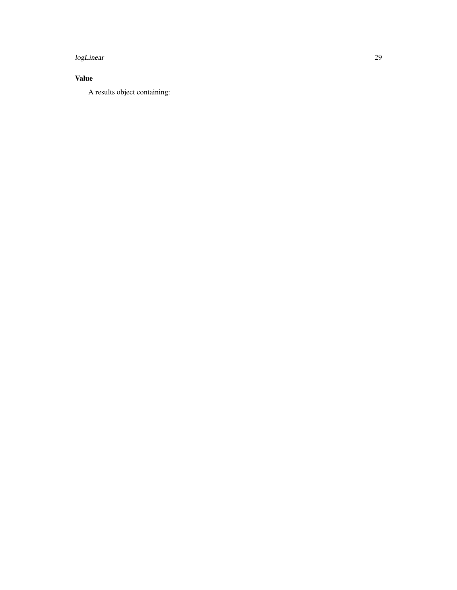#### logLinear 29

### Value

A results object containing: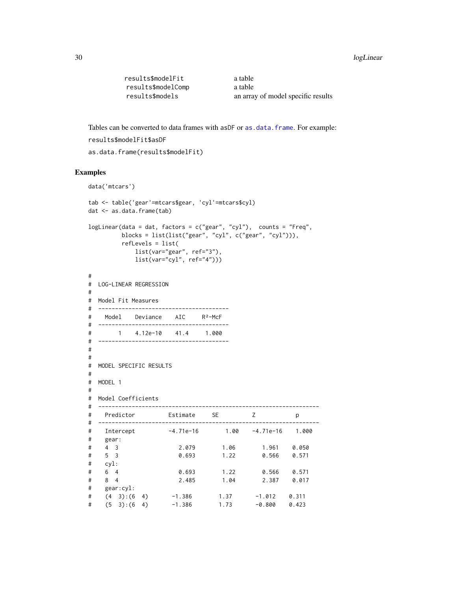#### <span id="page-29-0"></span>30 logLinear to the control of the control of the control of the control of the control of the control of the control of the control of the control of the control of the control of the control of the control of the control

```
results$modelFit a table
results$modelComp a table
results$models an array of model specific results
```
Tables can be converted to data frames with asDF or [as.data.frame](#page-0-0). For example: results\$modelFit\$asDF

```
as.data.frame(results$modelFit)
```

```
data('mtcars')
tab <- table('gear'=mtcars$gear, 'cyl'=mtcars$cyl)
dat <- as.data.frame(tab)
logLinear(data = dat, factors = c("gear", "cyl"), counts = "Freq",blocks = list(list("gear", "cyl", c("gear", "cyl"))),
       refLevels = list(
          list(var="gear", ref="3"),
          list(var="cyl", ref="4")))
#
# LOG-LINEAR REGRESSION
#
# Model Fit Measures
# ---------------------------------------
# Model Deviance AIC R²-McF
# ---------------------------------------
# 1 4.12e-10 41.4 1.000
# ---------------------------------------
#
#
# MODEL SPECIFIC RESULTS
#
# MODEL 1
#
# Model Coefficients
# ------------------------------------------------------------------
# Predictor Estimate SE Z p
# ------------------------------------------------------------------
# Intercept -4.71e-16 1.00 -4.71e-16 1.000
# gear:
# 4 3 2.079 1.06 1.961 0.050
# 5 3 0.693 1.22 0.566 0.571
# cyl:
# 6 4 0.693 1.22 0.566 0.571
# 8 4 2.485 1.04 2.387 0.017
# gear:cyl:
# (4 3):(6 4) -1.386 1.37 -1.012 0.311
# (5 3):(6 4) -1.386 1.73 -0.800 0.423
```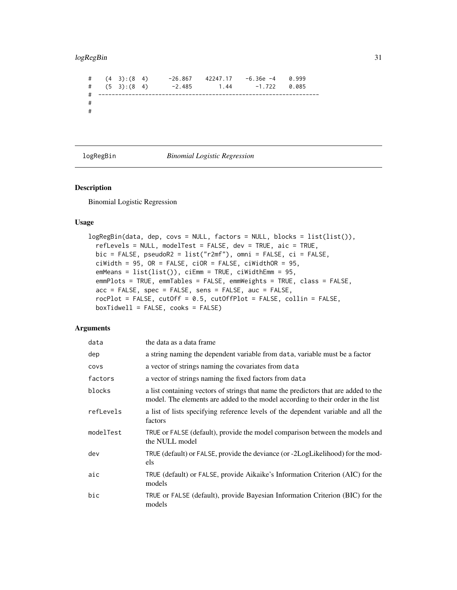### <span id="page-30-0"></span>logRegBin 31

# (4 3):(8 4) -26.867 42247.17 -6.36e -4 0.999 # (5 3):(8 4) -2.485 1.44 -1.722 0.085 # ------------------------------------------------------------------ # #

logRegBin *Binomial Logistic Regression*

### Description

Binomial Logistic Regression

#### Usage

```
logRegBin(data, dep, covs = NULL, factors = NULL, blocks = list(list()),
 refLevels = NULL, modelTest = FALSE, dev = TRUE, aic = TRUE,
 bic = FALSE, pseudoR2 = list("r2mf"), omni = FALSE, ci = FALSE,
 ciWidth = 95, OR = FALSE, ciOR = FALSE, ciWidthOR = 95,
 emMeans = list(list()), ciEmm = TRUE, ciWidthEmm = 95,
 emmPlots = TRUE, emmTables = FALSE, emmWeights = TRUE, class = FALSE,
 acc = FALSE, spec = FALSE, sens = FALSE, aux = FALSE,rocPlot = FALSE, cutOff = 0.5, cutOffPlot = FALSE, collin = FALSE,
 boxTidwell = FALSE, cooks = FALSE)
```

| data      | the data as a data frame                                                                                                                                               |
|-----------|------------------------------------------------------------------------------------------------------------------------------------------------------------------------|
| dep       | a string naming the dependent variable from data, variable must be a factor                                                                                            |
| covs      | a vector of strings naming the covariates from data                                                                                                                    |
| factors   | a vector of strings naming the fixed factors from data                                                                                                                 |
| blocks    | a list containing vectors of strings that name the predictors that are added to the<br>model. The elements are added to the model according to their order in the list |
| refLevels | a list of lists specifying reference levels of the dependent variable and all the<br>factors                                                                           |
| modelTest | TRUE or FALSE (default), provide the model comparison between the models and<br>the NULL model                                                                         |
| dev       | TRUE (default) or FALSE, provide the deviance (or -2LogLikelihood) for the mod-<br>els                                                                                 |
| aic       | TRUE (default) or FALSE, provide Aikaike's Information Criterion (AIC) for the<br>models                                                                               |
| bic       | TRUE or FALSE (default), provide Bayesian Information Criterion (BIC) for the<br>models                                                                                |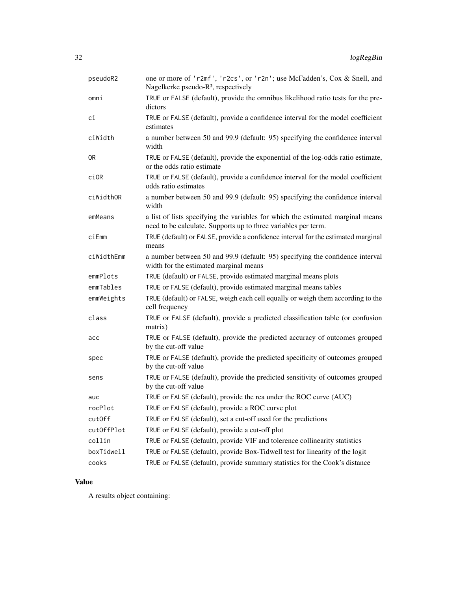| pseudoR2   | one or more of 'r2mf', 'r2cs', or 'r2n'; use McFadden's, Cox & Snell, and<br>Nagelkerke pseudo-R <sup>2</sup> , respectively                      |
|------------|---------------------------------------------------------------------------------------------------------------------------------------------------|
| omni       | TRUE or FALSE (default), provide the omnibus likelihood ratio tests for the pre-<br>dictors                                                       |
| сi         | TRUE or FALSE (default), provide a confidence interval for the model coefficient<br>estimates                                                     |
| ciWidth    | a number between 50 and 99.9 (default: 95) specifying the confidence interval<br>width                                                            |
| 0R         | TRUE or FALSE (default), provide the exponential of the log-odds ratio estimate,<br>or the odds ratio estimate                                    |
| ci0R       | TRUE or FALSE (default), provide a confidence interval for the model coefficient<br>odds ratio estimates                                          |
| ciWidthOR  | a number between 50 and 99.9 (default: 95) specifying the confidence interval<br>width                                                            |
| emMeans    | a list of lists specifying the variables for which the estimated marginal means<br>need to be calculate. Supports up to three variables per term. |
| ciEmm      | TRUE (default) or FALSE, provide a confidence interval for the estimated marginal<br>means                                                        |
| ciWidthEmm | a number between 50 and 99.9 (default: 95) specifying the confidence interval<br>width for the estimated marginal means                           |
| emmPlots   | TRUE (default) or FALSE, provide estimated marginal means plots                                                                                   |
| emmTables  | TRUE or FALSE (default), provide estimated marginal means tables                                                                                  |
| emmWeights | TRUE (default) or FALSE, weigh each cell equally or weigh them according to the<br>cell frequency                                                 |
| class      | TRUE or FALSE (default), provide a predicted classification table (or confusion<br>matrix)                                                        |
| acc        | TRUE or FALSE (default), provide the predicted accuracy of outcomes grouped<br>by the cut-off value                                               |
| spec       | TRUE or FALSE (default), provide the predicted specificity of outcomes grouped<br>by the cut-off value                                            |
| sens       | TRUE or FALSE (default), provide the predicted sensitivity of outcomes grouped<br>by the cut-off value                                            |
| auc        |                                                                                                                                                   |
|            | TRUE or FALSE (default), provide the rea under the ROC curve (AUC)                                                                                |
| rocPlot    | TRUE or FALSE (default), provide a ROC curve plot                                                                                                 |
| cut0ff     | TRUE or FALSE (default), set a cut-off used for the predictions                                                                                   |
| cutOffPlot | TRUE or FALSE (default), provide a cut-off plot                                                                                                   |
| collin     | TRUE or FALSE (default), provide VIF and tolerence collinearity statistics                                                                        |
| boxTidwell | TRUE or FALSE (default), provide Box-Tidwell test for linearity of the logit                                                                      |

### Value

A results object containing: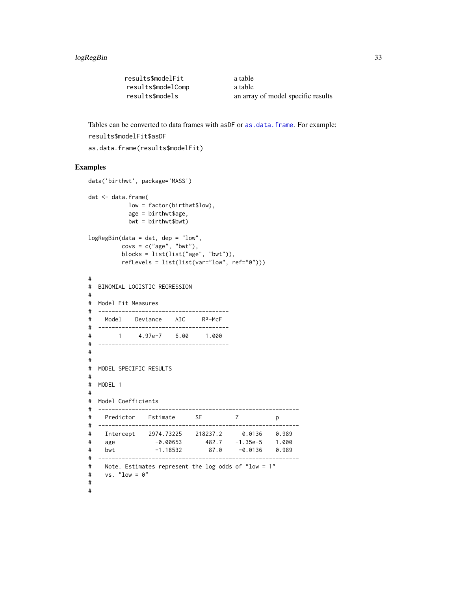<span id="page-32-0"></span>

| results\$modelFit  | a table                            |
|--------------------|------------------------------------|
| results\$modelComp | a table                            |
| results\$models    | an array of model specific results |

Tables can be converted to data frames with asDF or [as.data.frame](#page-0-0). For example: results\$modelFit\$asDF

```
as.data.frame(results$modelFit)
```

```
data('birthwt', package='MASS')
dat <- data.frame(
          low = factor(birthwt$low),
          age = birthwt$age,
          bwt = birthwt$bwt)
logRegBin(data = dat, dep = "low",
        covs = c("age", "bwt"),blocks = list(list("age", "bwt")),
        refLevels = list(list(var="low", ref="0")))
#
# BINOMIAL LOGISTIC REGRESSION
#
# Model Fit Measures
# ---------------------------------------
# Model Deviance AIC R²-McF
# ---------------------------------------
# 1 4.97e-7 6.00 1.000
# ---------------------------------------
#
#
# MODEL SPECIFIC RESULTS
#
# MODEL 1
#
# Model Coefficients
# ------------------------------------------------------------
# Predictor Estimate SE Z p
# ------------------------------------------------------------
# Intercept 2974.73225 218237.2 0.0136 0.989
# age -0.00653 482.7 -1.35e-5 1.000
# bwt -1.18532 87.0 -0.0136 0.989
# ------------------------------------------------------------
# Note. Estimates represent the log odds of "low = 1"
# vs. "low = 0"
#
#
```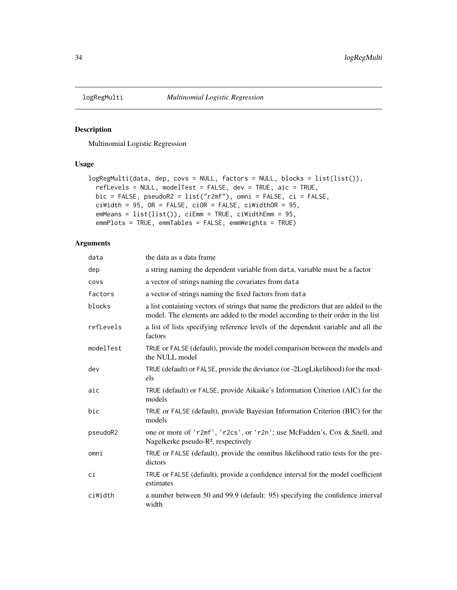<span id="page-33-0"></span>

### Description

Multinomial Logistic Regression

### Usage

```
logRegMulti(data, dep, covs = NULL, factors = NULL, blocks = list(list()),
  refLevels = NULL, modelTest = FALSE, dev = TRUE, aic = TRUE,
 bic = FALSE, pseudoR2 = list("r2mf"), omni = FALSE, ci = FALSE,
 cividth = 95, OR = FALSE, ciOR = FALSE, ciWidthOR = 95,
 emMeans = list(list()), ciEmm = TRUE, ciWidthEmm = 95,
 emmPlots = TRUE, emmTables = FALSE, emmWeights = TRUE)
```

| data      | the data as a data frame                                                                                                                                               |
|-----------|------------------------------------------------------------------------------------------------------------------------------------------------------------------------|
| dep       | a string naming the dependent variable from data, variable must be a factor                                                                                            |
| COVS      | a vector of strings naming the covariates from data                                                                                                                    |
| factors   | a vector of strings naming the fixed factors from data                                                                                                                 |
| blocks    | a list containing vectors of strings that name the predictors that are added to the<br>model. The elements are added to the model according to their order in the list |
| refLevels | a list of lists specifying reference levels of the dependent variable and all the<br>factors                                                                           |
| modelTest | TRUE or FALSE (default), provide the model comparison between the models and<br>the NULL model                                                                         |
| dev       | TRUE (default) or FALSE, provide the deviance (or -2LogLikelihood) for the mod-<br>els                                                                                 |
| aic       | TRUE (default) or FALSE, provide Aikaike's Information Criterion (AIC) for the<br>models                                                                               |
| bic       | TRUE or FALSE (default), provide Bayesian Information Criterion (BIC) for the<br>models                                                                                |
| pseudoR2  | one or more of 'r2mf', 'r2cs', or 'r2n'; use McFadden's, Cox & Snell, and<br>Nagelkerke pseudo-R <sup>2</sup> , respectively                                           |
| omni      | TRUE or FALSE (default), provide the omnibus likelihood ratio tests for the pre-<br>dictors                                                                            |
| сi        | TRUE or FALSE (default), provide a confidence interval for the model coefficient<br>estimates                                                                          |
| ciWidth   | a number between 50 and 99.9 (default: 95) specifying the confidence interval<br>width                                                                                 |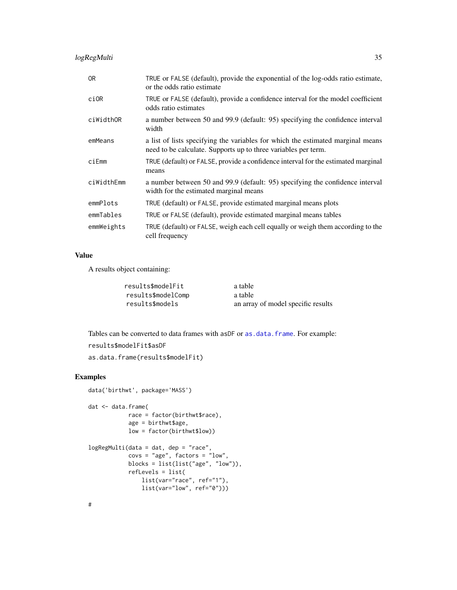<span id="page-34-0"></span>

| 0R         | TRUE or FALSE (default), provide the exponential of the log-odds ratio estimate,<br>or the odds ratio estimate                                    |
|------------|---------------------------------------------------------------------------------------------------------------------------------------------------|
| ci0R       | TRUE or FALSE (default), provide a confidence interval for the model coefficient<br>odds ratio estimates                                          |
| ciWidthOR  | a number between 50 and 99.9 (default: 95) specifying the confidence interval<br>width                                                            |
| emMeans    | a list of lists specifying the variables for which the estimated marginal means<br>need to be calculate. Supports up to three variables per term. |
| ciEmm      | TRUE (default) or FALSE, provide a confidence interval for the estimated marginal<br>means                                                        |
| ciWidthEmm | a number between 50 and 99.9 (default: 95) specifying the confidence interval<br>width for the estimated marginal means                           |
| emmPlots   | TRUE (default) or FALSE, provide estimated marginal means plots                                                                                   |
| emmTables  | TRUE or FALSE (default), provide estimated marginal means tables                                                                                  |
| emmWeights | TRUE (default) or FALSE, weigh each cell equally or weigh them according to the<br>cell frequency                                                 |

### Value

A results object containing:

| results\$modelFit  | a table                            |
|--------------------|------------------------------------|
| results\$modelComp | a table                            |
| results\$models    | an array of model specific results |

Tables can be converted to data frames with asDF or [as.data.frame](#page-0-0). For example: results\$modelFit\$asDF as.data.frame(results\$modelFit)

### Examples

```
data('birthwt', package='MASS')
dat <- data.frame(
           race = factor(birthwt$race),
           age = birthwt$age,
           low = factor(birthwt$low))
logRegMulti(data = dat, dep = "race",
            covs = "age", factors = "low",
            blocks = list(list("age", "low")),
            refLevels = list(
               list(var="race", ref="1"),
                list(var="low", ref="0")))
```
#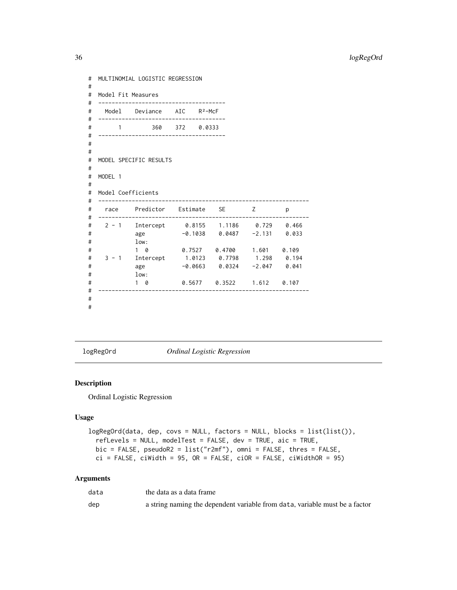```
# MULTINOMIAL LOGISTIC REGRESSION
#
# Model Fit Measures
# --------------------------------------
# Model Deviance AIC R²-McF
# --------------------------------------
# 1 360 372 0.0333
# --------------------------------------
#
#
# MODEL SPECIFIC RESULTS
#
# MODEL 1
#
# Model Coefficients
# ---------------------------------------------------------------
# race Predictor Estimate SE Z p
# ---------------------------------------------------------------
# 2 - 1 Intercept 0.8155 1.1186 0.729 0.466
# age -0.1038 0.0487 -2.131 0.033
\frac{1}{4} low:<br>\frac{1}{1} 0
# 1 0 0.7527 0.4700 1.601 0.109
# 3 - 1 Intercept 1.0123 0.7798 1.298 0.194
# age -0.0663 0.0324 -2.047 0.041
# low:
# 1 0 0.5677 0.3522 1.612 0.107
# ---------------------------------------------------------------
#
#
```
logRegOrd *Ordinal Logistic Regression*

#### Description

Ordinal Logistic Regression

### Usage

```
logRegOrd(data, dep, covs = NULL, factors = NULL, blocks = list(list()),
  refLevels = NULL, modelTest = FALSE, dev = TRUE, aic = TRUE,
 bic = FALSE, pseudoR2 = list("r2mf"), omni = FALSE, thres = FALSE,
 ci = FALSE, ciWidth = 95, OR = FALSE, ciOR = FALSE, ciWidthOR = 95)
```

| data | the data as a data frame                                                    |
|------|-----------------------------------------------------------------------------|
| dep  | a string naming the dependent variable from data, variable must be a factor |

<span id="page-35-0"></span>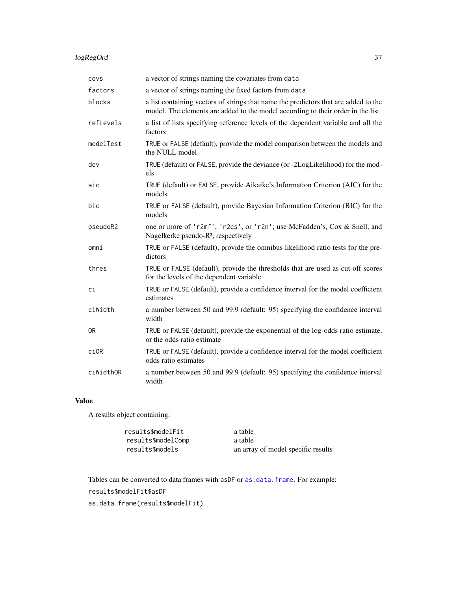### <span id="page-36-0"></span>logRegOrd 37

| covs      | a vector of strings naming the covariates from data                                                                                                                    |
|-----------|------------------------------------------------------------------------------------------------------------------------------------------------------------------------|
| factors   | a vector of strings naming the fixed factors from data                                                                                                                 |
| blocks    | a list containing vectors of strings that name the predictors that are added to the<br>model. The elements are added to the model according to their order in the list |
| refLevels | a list of lists specifying reference levels of the dependent variable and all the<br>factors                                                                           |
| modelTest | TRUE or FALSE (default), provide the model comparison between the models and<br>the NULL model                                                                         |
| dev       | TRUE (default) or FALSE, provide the deviance (or -2LogLikelihood) for the mod-<br>els                                                                                 |
| aic       | TRUE (default) or FALSE, provide Aikaike's Information Criterion (AIC) for the<br>models                                                                               |
| bic       | TRUE or FALSE (default), provide Bayesian Information Criterion (BIC) for the<br>models                                                                                |
| pseudoR2  | one or more of 'r2mf', 'r2cs', or 'r2n'; use McFadden's, Cox & Snell, and<br>Nagelkerke pseudo-R <sup>2</sup> , respectively                                           |
| omni      | TRUE or FALSE (default), provide the omnibus likelihood ratio tests for the pre-<br>dictors                                                                            |
| thres     | TRUE or FALSE (default), provide the thresholds that are used as cut-off scores<br>for the levels of the dependent variable                                            |
| ci        | TRUE or FALSE (default), provide a confidence interval for the model coefficient<br>estimates                                                                          |
| ciWidth   | a number between 50 and 99.9 (default: 95) specifying the confidence interval<br>width                                                                                 |
| 0R        | TRUE or FALSE (default), provide the exponential of the log-odds ratio estimate,<br>or the odds ratio estimate                                                         |
| ci0R      | TRUE or FALSE (default), provide a confidence interval for the model coefficient<br>odds ratio estimates                                                               |
| ciWidthOR | a number between 50 and 99.9 (default: 95) specifying the confidence interval<br>width                                                                                 |

### Value

A results object containing:

| results\$modelFit  | a table                            |
|--------------------|------------------------------------|
| results\$modelComp | a table                            |
| results\$models    | an array of model specific results |

Tables can be converted to data frames with asDF or [as.data.frame](#page-0-0). For example: results\$modelFit\$asDF as.data.frame(results\$modelFit)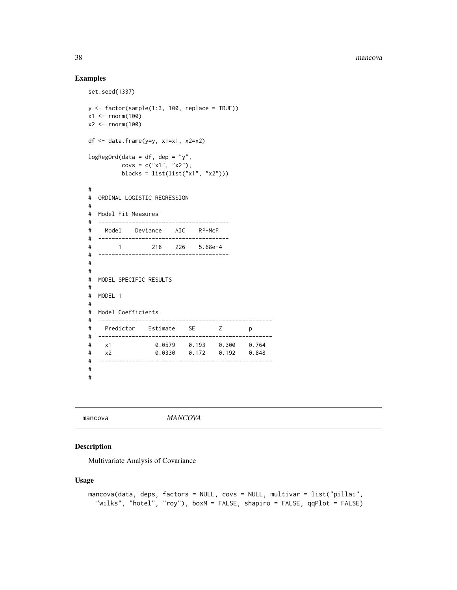### Examples

```
set.seed(1337)
y \leftarrow factor(sample(1:3, 100, replace = TRUE))
x1 <- rnorm(100)x2 < - rnorm(100)
df \le data.frame(y=y, x1=x1, x2=x2)
logRegOrd(data = df, dep = "y",covs = c("x1", "x2"),blocks = list(list("x1", "x2")))
#
# ORDINAL LOGISTIC REGRESSION
#
# Model Fit Measures
# ---------------------------------------
# Model Deviance AIC R²-McF
# ---------------------------------------
# 1 218 226 5.68e-4
# ---------------------------------------
#
#
# MODEL SPECIFIC RESULTS
#
# MODEL 1
#
# Model Coefficients
# ----------------------------------------------------
# Predictor Estimate SE Z p
# ----------------------------------------------------
# x1 0.0579 0.193 0.300 0.764
# x2 0.0330 0.172 0.192 0.848
# ----------------------------------------------------
#
#
```
mancova *MANCOVA*

### Description

Multivariate Analysis of Covariance

#### Usage

```
mancova(data, deps, factors = NULL, covs = NULL, multivar = list("pillai",
  "wilks", "hotel", "roy"), boxM = FALSE, shapiro = FALSE, qqPlot = FALSE)
```
<span id="page-37-0"></span>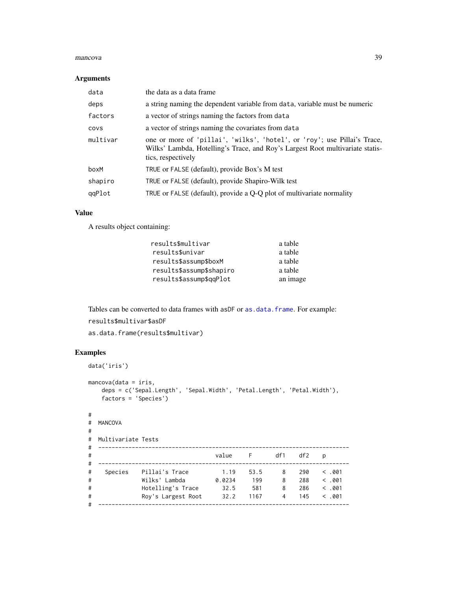#### <span id="page-38-0"></span>mancova 39

#### Arguments

| data     | the data as a data frame                                                                                                                                                        |
|----------|---------------------------------------------------------------------------------------------------------------------------------------------------------------------------------|
| deps     | a string naming the dependent variable from data, variable must be numeric                                                                                                      |
| factors  | a vector of strings naming the factors from data                                                                                                                                |
| COVS     | a vector of strings naming the covariates from data                                                                                                                             |
| multivar | one or more of 'pillai', 'wilks', 'hotel', or 'roy'; use Pillai's Trace,<br>Wilks' Lambda, Hotelling's Trace, and Roy's Largest Root multivariate statis-<br>tics, respectively |
| boxM     | TRUE or FALSE (default), provide Box's M test                                                                                                                                   |
| shapiro  | TRUE or FALSE (default), provide Shapiro-Wilk test                                                                                                                              |
| qqPlot   | TRUE or FALSE (default), provide a $Q-Q$ plot of multivariate normality                                                                                                         |

### Value

A results object containing:

| results\$multivar        | a table  |
|--------------------------|----------|
| results\$univar          | a table  |
| results\$assump\$boxM    | a table  |
| results\$assump\$shapiro | a table  |
| results\$assump\$qqPlot  | an image |

Tables can be converted to data frames with asDF or [as.data.frame](#page-0-0). For example: results\$multivar\$asDF as.data.frame(results\$multivar)

```
data('iris')
mancova(data = iris,
   deps = c('Sepal.Length', 'Sepal.Width', 'Petal.Length', 'Petal.Width'),
   factors = 'Species')
#
# MANCOVA
#
# Multivariate Tests
# ---------------------------------------------------------------------------
# value F df1 df2 p
# ---------------------------------------------------------------------------
# Species Pillai's Trace 1.19 53.5 8 290 < .001
# Wilks' Lambda 0.0234 199 8 288 < .001
# Hotelling's Trace 32.5 581 8 286 < .001
# Roy's Largest Root 32.2 1167 4 145 < .001
# ---------------------------------------------------------------------------
```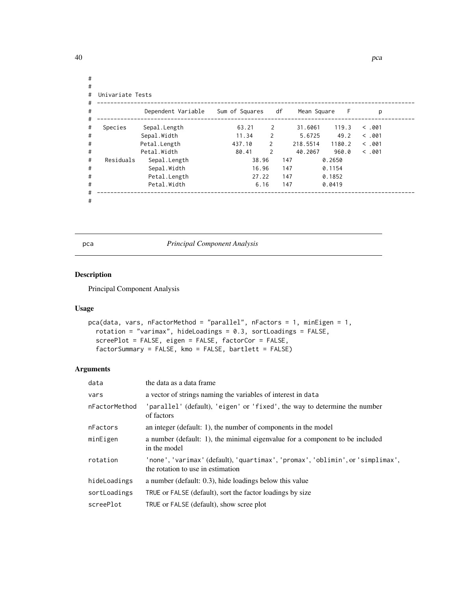|           | Univariate Tests   |                |               |                   |        |       |
|-----------|--------------------|----------------|---------------|-------------------|--------|-------|
|           | Dependent Variable | Sum of Squares |               | df<br>Mean Square | - F    | p     |
| Species   | Sepal.Length       | 63.21          | 2             | 31.6061           | 119.3  | <.001 |
|           | Sepal.Width        | 11.34          | 2             | 5.6725            | 49.2   | <.001 |
|           | Petal.Length       | 437.10         | 2             | 218.5514          | 1180.2 | <.001 |
|           | Petal. Width       | 80.41          | $\mathcal{P}$ | 40.2067           | 960.0  | <.001 |
| Residuals | Sepal.Length       | 38.96          |               | 147               | 0.2650 |       |
|           | Sepal.Width        | 16.96          |               | 147               | 0.1154 |       |
|           | Petal.Length       | 27.22          |               | 147               | 0.1852 |       |
|           | Petal. Width       | 6.16           |               | 147               | 0.0419 |       |

#

pca *Principal Component Analysis*

### Description

Principal Component Analysis

### Usage

```
pca(data, vars, nFactorMethod = "parallel", nFactors = 1, minEigen = 1,
  rotation = "varimax", hideLoadings = 0.3, sortLoadings = FALSE,
  screePlot = FALSE, eigen = FALSE, factorCor = FALSE,
  factorSummary = FALSE, kmo = FALSE, bartlett = FALSE)
```

| data          | the data as a data frame                                                                                     |
|---------------|--------------------------------------------------------------------------------------------------------------|
| vars          | a vector of strings naming the variables of interest in data                                                 |
| nFactorMethod | 'parallel' (default), 'eigen' or 'fixed', the way to determine the number<br>of factors                      |
| nFactors      | an integer (default: 1), the number of components in the model                                               |
| minEigen      | a number (default: 1), the minimal eigenvalue for a component to be included<br>in the model                 |
| rotation      | 'none','varimax'(default),'quartimax','promax','oblimin',or'simplimax',<br>the rotation to use in estimation |
| hideLoadings  | a number (default: 0.3), hide loadings below this value                                                      |
| sortLoadings  | TRUE or FALSE (default), sort the factor loadings by size                                                    |
| screePlot     | TRUE or FALSE (default), show scree plot                                                                     |

<span id="page-39-0"></span>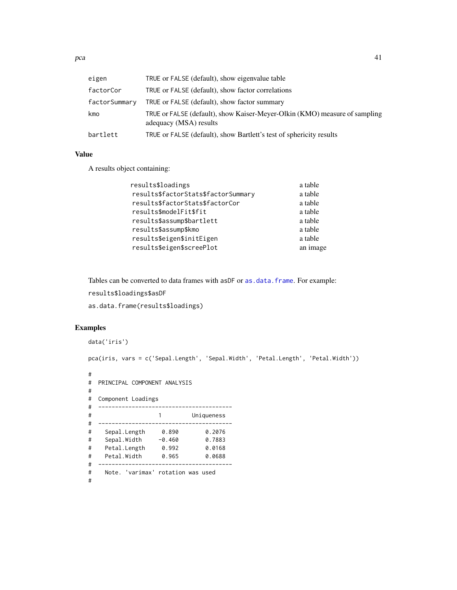<span id="page-40-0"></span> $pca$  and  $q1$ 

| eigen         | TRUE or FALSE (default), show eigenvalue table                                                       |
|---------------|------------------------------------------------------------------------------------------------------|
| factorCor     | TRUE or FALSE (default), show factor correlations                                                    |
| factorSummary | TRUE or FALSE (default), show factor summary                                                         |
| kmo           | TRUE or FALSE (default), show Kaiser-Meyer-Olkin (KMO) measure of sampling<br>adequacy (MSA) results |
| bartlett      | TRUE or FALSE (default), show Bartlett's test of sphericity results                                  |

### Value

A results object containing:

| results\$loadings                   | a table  |
|-------------------------------------|----------|
| results\$factorStats\$factorSummary | a table  |
| results\$factorStats\$factorCor     | a table  |
| results\$modelFit\$fit              | a table  |
| results\$assump\$bartlett           | a table  |
| results\$assump\$kmo                | a table  |
| results\$eigen\$initEigen           | a table  |
| results\$eigen\$screePlot           | an image |
|                                     |          |

Tables can be converted to data frames with asDF or [as.data.frame](#page-0-0). For example:

results\$loadings\$asDF

as.data.frame(results\$loadings)

```
data('iris')
pca(iris, vars = c('Sepal.Length', 'Sepal.Width', 'Petal.Length', 'Petal.Width'))
#
# PRINCIPAL COMPONENT ANALYSIS
#
# Component Loadings
# ----------------------------------------
# 1 Uniqueness
# ----------------------------------------
# Sepal.Length 0.890 0.2076
# Sepal.Width -0.460 0.7883
# Petal.Length 0.992 0.0168
# Petal.Width 0.965 0.0688
# ----------------------------------------
# Note. 'varimax' rotation was used
#
```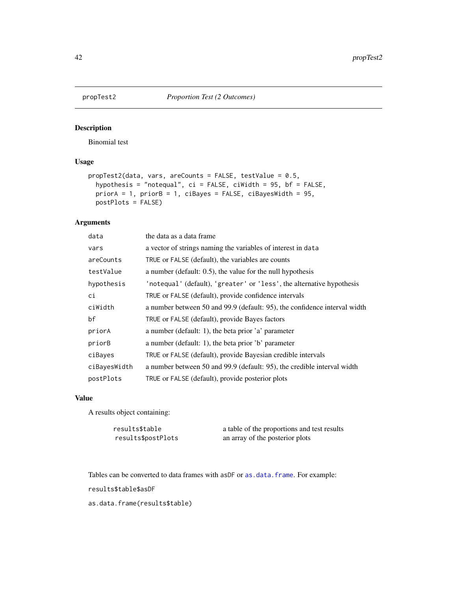<span id="page-41-0"></span>

### Description

Binomial test

### Usage

```
propTest2(data, vars, areCounts = FALSE, testValue = 0.5,
 hypothesis = "notequal", ci = FALSE, ciWidth = 95, bf = FALSE,
 priorA = 1, priorB = 1, ciBayes = FALSE, ciBayesWidth = 95,
 postPlots = FALSE)
```
### Arguments

| data         | the data as a data frame                                                  |
|--------------|---------------------------------------------------------------------------|
| vars         | a vector of strings naming the variables of interest in data              |
| areCounts    | TRUE or FALSE (default), the variables are counts                         |
| testValue    | a number (default: 0.5), the value for the null hypothesis                |
| hypothesis   | 'notequal' (default), 'greater' or 'less', the alternative hypothesis     |
| сi           | TRUE or FALSE (default), provide confidence intervals                     |
| ciWidth      | a number between 50 and 99.9 (default: 95), the confidence interval width |
| bf           | TRUE or FALSE (default), provide Bayes factors                            |
| priorA       | a number (default: 1), the beta prior 'a' parameter                       |
| priorB       | a number (default: 1), the beta prior 'b' parameter                       |
| ciBayes      | TRUE or FALSE (default), provide Bayesian credible intervals              |
| ciBayesWidth | a number between 50 and 99.9 (default: 95), the credible interval width   |
| postPlots    | TRUE or FALSE (default), provide posterior plots                          |

### Value

A results object containing:

| results\$table     | a table of the proportions and test results |
|--------------------|---------------------------------------------|
| results\$postPlots | an array of the posterior plots             |

Tables can be converted to data frames with asDF or [as.data.frame](#page-0-0). For example: results\$table\$asDF

as.data.frame(results\$table)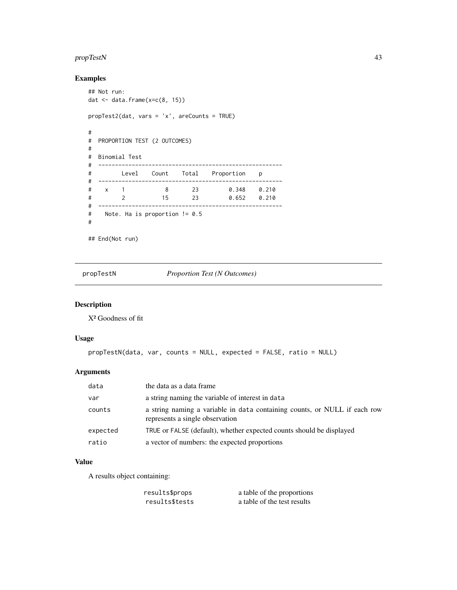### <span id="page-42-0"></span>propTestN 43

### Examples

```
## Not run:
dat <- data.frame(x=c(8, 15))
propTest2(dat, vars = 'x', areCounts = TRUE)
#
# PROPORTION TEST (2 OUTCOMES)
#
# Binomial Test
# -------------------------------------------------------
# Level Count Total Proportion p
# -------------------------------------------------------
# x 1 8 23 0.348 0.210
# 2 15 23 0.652 0.210
# -------------------------------------------------------
# Note. Ha is proportion != 0.5
#
## End(Not run)
```
propTestN *Proportion Test (N Outcomes)*

### Description

X² Goodness of fit

#### Usage

```
propTestN(data, var, counts = NULL, expected = FALSE, ratio = NULL)
```
### Arguments

| data     | the data as a data frame                                                                                     |
|----------|--------------------------------------------------------------------------------------------------------------|
| var      | a string naming the variable of interest in data                                                             |
| counts   | a string naming a variable in data containing counts, or NULL if each row<br>represents a single observation |
| expected | TRUE or FALSE (default), whether expected counts should be displayed                                         |
| ratio    | a vector of numbers: the expected proportions                                                                |
|          |                                                                                                              |

### Value

A results object containing:

| results\$props | a table of the proportions  |
|----------------|-----------------------------|
| results\$tests | a table of the test results |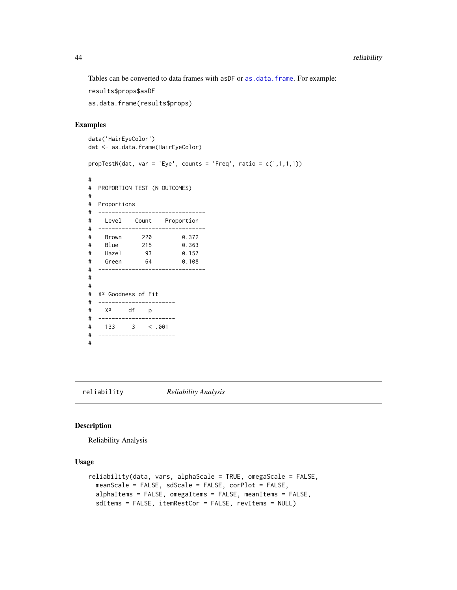Tables can be converted to data frames with asDF or [as.data.frame](#page-0-0). For example:

results\$props\$asDF

as.data.frame(results\$props)

#### Examples

```
data('HairEyeColor')
dat <- as.data.frame(HairEyeColor)
propTestN(data, var = 'Eye', counts = 'Freq', ratio = c(1,1,1,1))#
# PROPORTION TEST (N OUTCOMES)
#
# Proportions
# --------------------------------
# Level Count Proportion
# --------------------------------
# Brown 220 0.372
# Blue 215 0.363
# Hazel 93 0.157
# Green 64 0.108
# --------------------------------
#
#
# X² Goodness of Fit
# -----------------------
# X² df p
# -----------------------
# 133 3 < .001
# -----------------------
#
```
reliability *Reliability Analysis*

### Description

Reliability Analysis

#### Usage

```
reliability(data, vars, alphaScale = TRUE, omegaScale = FALSE,
  meanScale = FALSE, sdScale = FALSE, corPlot = FALSE,
  alphaItems = FALSE, omegaItems = FALSE, meanItems = FALSE,
  sdItems = FALSE, itemRestCor = FALSE, revItems = NULL)
```
<span id="page-43-0"></span>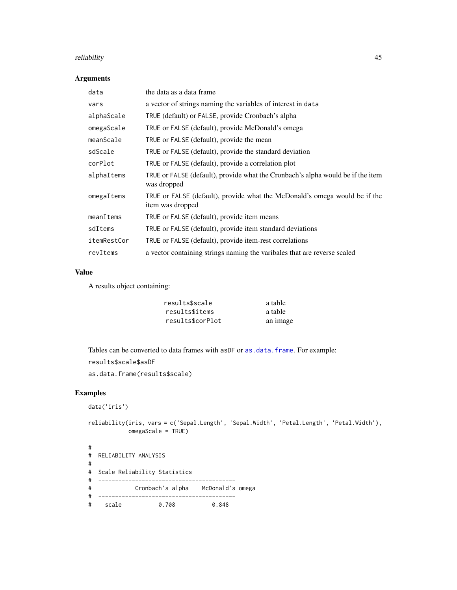#### <span id="page-44-0"></span>reliability and the set of the set of the set of the set of the set of the set of the set of the set of the set of the set of the set of the set of the set of the set of the set of the set of the set of the set of the set

### Arguments

| data        | the data as a data frame                                                                       |
|-------------|------------------------------------------------------------------------------------------------|
| vars        | a vector of strings naming the variables of interest in data                                   |
| alphaScale  | TRUE (default) or FALSE, provide Cronbach's alpha                                              |
| omegaScale  | TRUE or FALSE (default), provide McDonald's omega                                              |
| meanScale   | TRUE or FALSE (default), provide the mean                                                      |
| sdScale     | TRUE or FALSE (default), provide the standard deviation                                        |
| corPlot     | TRUE or FALSE (default), provide a correlation plot                                            |
| alphaItems  | TRUE or FALSE (default), provide what the Cronbach's alpha would be if the item<br>was dropped |
| omegaItems  | TRUE or FALSE (default), provide what the McDonald's omega would be if the<br>item was dropped |
| meanItems   | TRUE or FALSE (default), provide item means                                                    |
| sdItems     | TRUE or FALSE (default), provide item standard deviations                                      |
| itemRestCor | TRUE or FALSE (default), provide item-rest correlations                                        |
| revItems    | a vector containing strings naming the varibales that are reverse scaled                       |

### Value

A results object containing:

| results\$scale   | a table  |
|------------------|----------|
| results\$items   | a table  |
| results\$corPlot | an image |

Tables can be converted to data frames with asDF or [as.data.frame](#page-0-0). For example:

```
results$scale$asDF
```
as.data.frame(results\$scale)

```
data('iris')
```

```
reliability(iris, vars = c('Sepal.Length', 'Sepal.Width', 'Petal.Length', 'Petal.Width'),
           omegaScale = TRUE)
```

```
#
# RELIABILITY ANALYSIS
#
# Scale Reliability Statistics
# -----------------------------------------
# Cronbach's alpha McDonald's omega
# -----------------------------------------
  # scale 0.708 0.848
```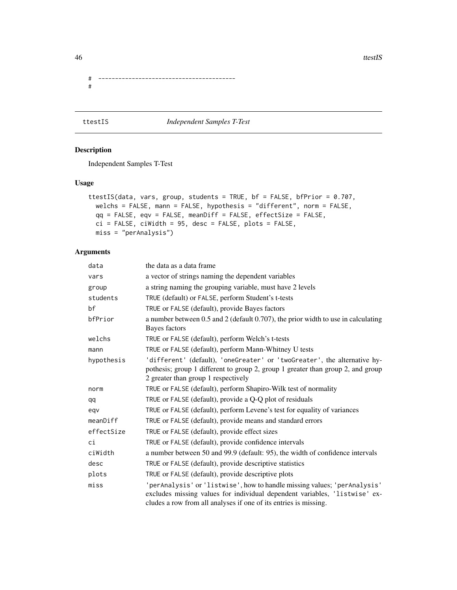46 ttestIS

# ----------------------------------------- #

### ttestIS *Independent Samples T-Test*

### Description

Independent Samples T-Test

### Usage

```
ttestIS(data, vars, group, students = TRUE, bf = FALSE, bfPrior = 0.707,
 welchs = FALSE, mann = FALSE, hypothesis = "different", norm = FALSE,
 qq = FALSE, eqv = FALSE, meanDiff = FALSE, effectSize = FALSE,
 ci = FALSE, ciWidth = 95, desc = FALSE, plots = FALSE,
 miss = "perAnalysis")
```

| data       | the data as a data frame                                                                                                                                                                                                   |
|------------|----------------------------------------------------------------------------------------------------------------------------------------------------------------------------------------------------------------------------|
| vars       | a vector of strings naming the dependent variables                                                                                                                                                                         |
| group      | a string naming the grouping variable, must have 2 levels                                                                                                                                                                  |
| students   | TRUE (default) or FALSE, perform Student's t-tests                                                                                                                                                                         |
| bf         | TRUE or FALSE (default), provide Bayes factors                                                                                                                                                                             |
| bfPrior    | a number between 0.5 and 2 (default 0.707), the prior width to use in calculating<br>Bayes factors                                                                                                                         |
| welchs     | TRUE or FALSE (default), perform Welch's t-tests                                                                                                                                                                           |
| mann       | TRUE or FALSE (default), perform Mann-Whitney U tests                                                                                                                                                                      |
| hypothesis | 'different' (default), 'oneGreater' or 'twoGreater', the alternative hy-<br>pothesis; group 1 different to group 2, group 1 greater than group 2, and group<br>2 greater than group 1 respectively                         |
| norm       | TRUE or FALSE (default), perform Shapiro-Wilk test of normality                                                                                                                                                            |
| qq         | TRUE or FALSE (default), provide a Q-Q plot of residuals                                                                                                                                                                   |
| eqv        | TRUE or FALSE (default), perform Levene's test for equality of variances                                                                                                                                                   |
| meanDiff   | TRUE or FALSE (default), provide means and standard errors                                                                                                                                                                 |
| effectSize | TRUE or FALSE (default), provide effect sizes                                                                                                                                                                              |
| ci         | TRUE or FALSE (default), provide confidence intervals                                                                                                                                                                      |
| ciWidth    | a number between 50 and 99.9 (default: 95), the width of confidence intervals                                                                                                                                              |
| desc       | TRUE or FALSE (default), provide descriptive statistics                                                                                                                                                                    |
| plots      | TRUE or FALSE (default), provide descriptive plots                                                                                                                                                                         |
| miss       | 'perAnalysis' or 'listwise', how to handle missing values; 'perAnalysis'<br>excludes missing values for individual dependent variables, 'listwise' ex-<br>cludes a row from all analyses if one of its entries is missing. |

<span id="page-45-0"></span>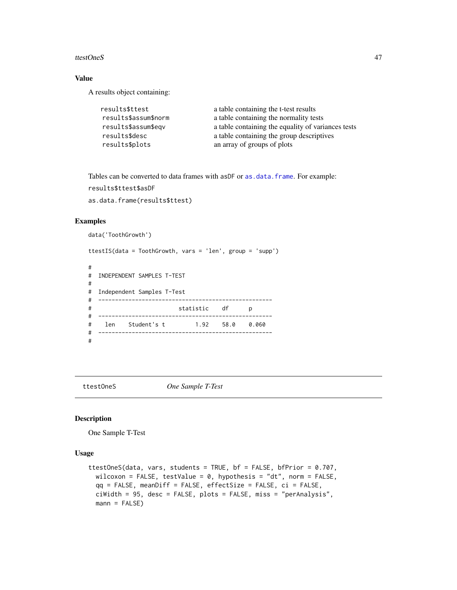#### <span id="page-46-0"></span>ttestOneS 47

### Value

A results object containing:

| results\$ttest       | a table containing the t-test results              |
|----------------------|----------------------------------------------------|
| results\$assum\$norm | a table containing the normality tests             |
| results\$assum\$eqv  | a table containing the equality of variances tests |
| results\$desc        | a table containing the group descriptives          |
| results\$plots       | an array of groups of plots                        |

Tables can be converted to data frames with asDF or [as.data.frame](#page-0-0). For example: results\$ttest\$asDF

as.data.frame(results\$ttest)

### Examples

```
data('ToothGrowth')
```
ttestIS(data = ToothGrowth, vars = 'len', group = 'supp') #

```
# INDEPENDENT SAMPLES T-TEST
#
# Independent Samples T-Test
# ----------------------------------------------------
# statistic df p
# ----------------------------------------------------
# len Student's t 1.92 58.0 0.060
# ----------------------------------------------------
#
```
ttestOneS *One Sample T-Test*

### Description

One Sample T-Test

#### Usage

```
ttestOneS(data, vars, students = TRUE, bf = FALSE, bfPrior = 0.707,
 wilcoxon = FALSE, testValue = 0, hypothesis = "dt", norm = FALSE,
 qq = FALSE, meanDiff = FALSE, effectSize = FALSE, ci = FALSE,
 ciWidth = 95, desc = FALSE, plots = FALSE, miss = "perAnalysis",
 mann = FALSE)
```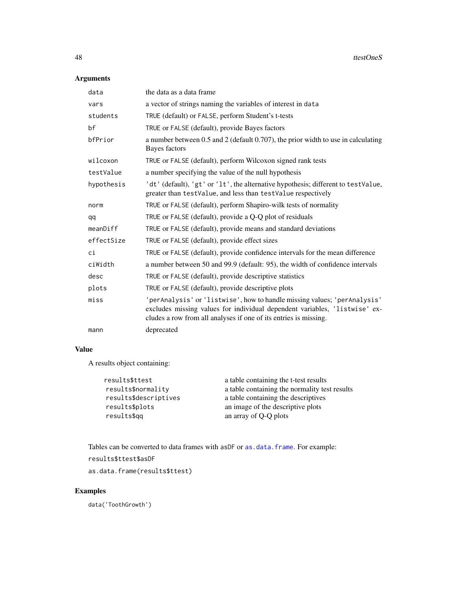### <span id="page-47-0"></span>Arguments

| data       | the data as a data frame                                                                                                                                                                                                   |
|------------|----------------------------------------------------------------------------------------------------------------------------------------------------------------------------------------------------------------------------|
| vars       | a vector of strings naming the variables of interest in data                                                                                                                                                               |
| students   | TRUE (default) or FALSE, perform Student's t-tests                                                                                                                                                                         |
| bf         | TRUE or FALSE (default), provide Bayes factors                                                                                                                                                                             |
| bfPrior    | a number between 0.5 and 2 (default 0.707), the prior width to use in calculating<br>Bayes factors                                                                                                                         |
| wilcoxon   | TRUE or FALSE (default), perform Wilcoxon signed rank tests                                                                                                                                                                |
| testValue  | a number specifying the value of the null hypothesis                                                                                                                                                                       |
| hypothesis | 'dt' (default), 'gt' or 'lt', the alternative hypothesis; different to testValue,<br>greater than testValue, and less than testValue respectively                                                                          |
| norm       | TRUE or FALSE (default), perform Shapiro-wilk tests of normality                                                                                                                                                           |
| qq         | TRUE or FALSE (default), provide a Q-Q plot of residuals                                                                                                                                                                   |
| meanDiff   | TRUE or FALSE (default), provide means and standard deviations                                                                                                                                                             |
| effectSize | TRUE or FALSE (default), provide effect sizes                                                                                                                                                                              |
| сi         | TRUE or FALSE (default), provide confidence intervals for the mean difference                                                                                                                                              |
| ciWidth    | a number between 50 and 99.9 (default: 95), the width of confidence intervals                                                                                                                                              |
| desc       | TRUE or FALSE (default), provide descriptive statistics                                                                                                                                                                    |
| plots      | TRUE or FALSE (default), provide descriptive plots                                                                                                                                                                         |
| miss       | 'perAnalysis' or 'listwise', how to handle missing values; 'perAnalysis'<br>excludes missing values for individual dependent variables, 'listwise' ex-<br>cludes a row from all analyses if one of its entries is missing. |
| mann       | deprecated                                                                                                                                                                                                                 |

### Value

A results object containing:

| results\$ttest        | a table containing the t-test results         |
|-----------------------|-----------------------------------------------|
| results\$normality    | a table containing the normality test results |
| results\$descriptives | a table containing the descriptives           |
| results\$plots        | an image of the descriptive plots             |
| results\$gg           | an array of Q-Q plots                         |
|                       |                                               |

Tables can be converted to data frames with asDF or [as.data.frame](#page-0-0). For example:

```
results$ttest$asDF
```
as.data.frame(results\$ttest)

### Examples

data('ToothGrowth')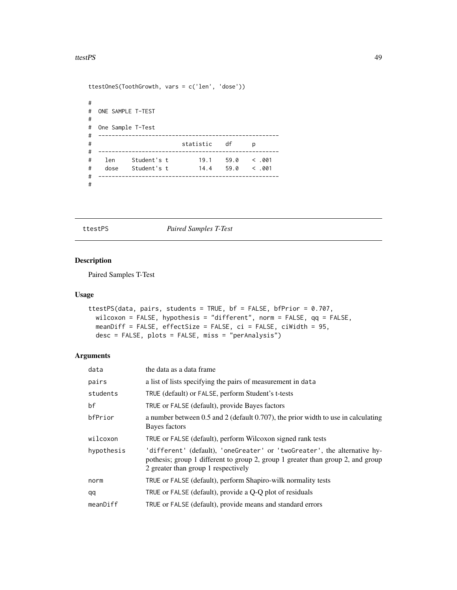#### <span id="page-48-0"></span>ttestPS and the state of the state of the state of the state of the state of the state of the state of the state of the state of the state of the state of the state of the state of the state of the state of the state of th

```
ttestOneS(ToothGrowth, vars = c('len', 'dose'))
#
# ONE SAMPLE T-TEST
#
# One Sample T-Test
# ------------------------------------------------------
# statistic df p
# ------------------------------------------------------
# len Student's t 19.1 59.0 < .001
# dose Student's t 14.4 59.0 < .001
# ------------------------------------------------------
#
```
### ttestPS *Paired Samples T-Test*

### Description

Paired Samples T-Test

### Usage

```
ttestPS(data, pairs, students = TRUE, bf = FALSE, bfPrior = 0.707,
 wilcoxon = FALSE, hypothesis = "different", norm = FALSE, qq = FALSE,
 meanDiff = FALSE, effectSize = FALSE, ci = FALSE, ciWidth = 95,
 desc = FALSE, plots = FALSE, miss = "perAnalysis")
```

| data       | the data as a data frame                                                                                                                                                                           |
|------------|----------------------------------------------------------------------------------------------------------------------------------------------------------------------------------------------------|
| pairs      | a list of lists specifying the pairs of measurement in data                                                                                                                                        |
| students   | TRUE (default) or FALSE, perform Student's t-tests                                                                                                                                                 |
| bf         | TRUE or FALSE (default), provide Bayes factors                                                                                                                                                     |
| bfPrior    | a number between 0.5 and 2 (default $0.707$ ), the prior width to use in calculating<br>Bayes factors                                                                                              |
| wilcoxon   | TRUE or FALSE (default), perform Wilcoxon signed rank tests                                                                                                                                        |
| hypothesis | 'different' (default), 'oneGreater' or 'twoGreater', the alternative hy-<br>pothesis; group 1 different to group 2, group 1 greater than group 2, and group<br>2 greater than group 1 respectively |
| norm       | TRUE or FALSE (default), perform Shapiro-wilk normality tests                                                                                                                                      |
| qq         | TRUE or FALSE (default), provide a Q-Q plot of residuals                                                                                                                                           |
| meanDiff   | TRUE or FALSE (default), provide means and standard errors                                                                                                                                         |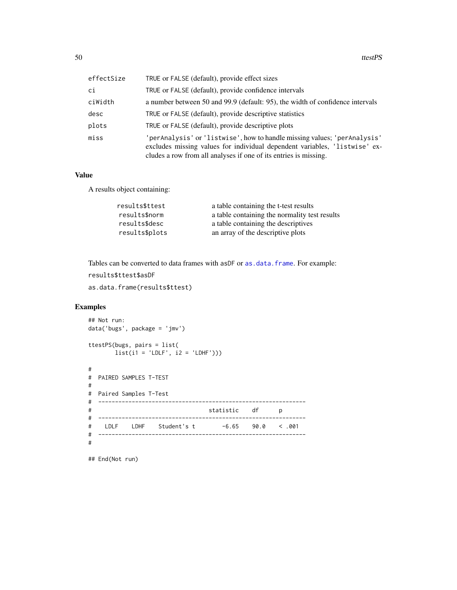<span id="page-49-0"></span>

| effectSize | TRUE or FALSE (default), provide effect sizes                                                                                                                                                                              |
|------------|----------------------------------------------------------------------------------------------------------------------------------------------------------------------------------------------------------------------------|
| сi         | TRUE or FALSE (default), provide confidence intervals                                                                                                                                                                      |
| ciWidth    | a number between 50 and 99.9 (default: 95), the width of confidence intervals                                                                                                                                              |
| desc       | TRUE or FALSE (default), provide descriptive statistics                                                                                                                                                                    |
| plots      | TRUE or FALSE (default), provide descriptive plots                                                                                                                                                                         |
| miss       | 'perAnalysis' or 'listwise', how to handle missing values; 'perAnalysis'<br>excludes missing values for individual dependent variables, 'listwise' ex-<br>cludes a row from all analyses if one of its entries is missing. |

### Value

A results object containing:

| results\$ttest | a table containing the t-test results         |
|----------------|-----------------------------------------------|
| results\$norm  | a table containing the normality test results |
| results\$desc  | a table containing the descriptives           |
| results\$plots | an array of the descriptive plots             |

Tables can be converted to data frames with asDF or [as.data.frame](#page-0-0). For example:

```
results$ttest$asDF
```
as.data.frame(results\$ttest)

### Examples

```
## Not run:
data('bugs', package = 'jmv')
ttestPS(bugs, pairs = list(
      list(i1 = 'LDEF', i2 = 'LDHF'))#
# PAIRED SAMPLES T-TEST
#
# Paired Samples T-Test
# --------------------------------------------------------------
# statistic df p
# --------------------------------------------------------------
# LDLF LDHF Student's t -6.65 90.0 < .001
# --------------------------------------------------------------
#
```
## End(Not run)